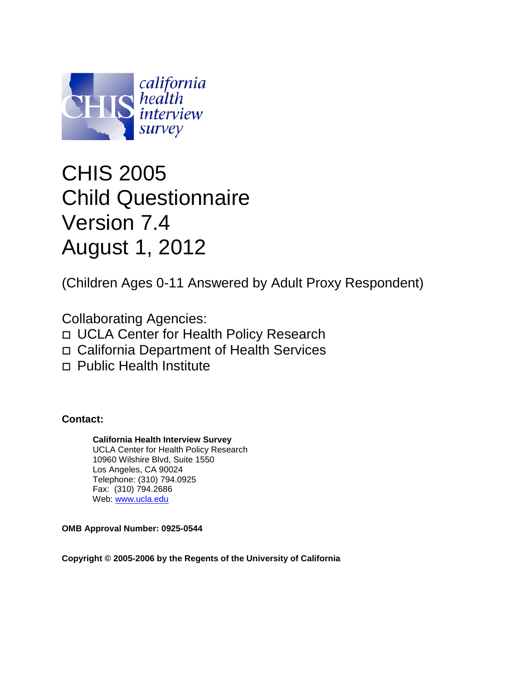

# CHIS 2005 Child Questionnaire Version 7.4 August 1, 2012

(Children Ages 0-11 Answered by Adult Proxy Respondent)

Collaborating Agencies: UCLA Center for Health Policy Research California Department of Health Services □ Public Health Institute

**Contact:**

**California Health Interview Survey**  UCLA Center for Health Policy Research 10960 Wilshire Blvd, Suite 1550 Los Angeles, CA 90024 Telephone: (310) 794.0925 Fax: (310) 794.2686 Web: [www.ucla.edu](http://www.ucla.edu/)

**OMB Approval Number: 0925-0544**

**Copyright © 2005-2006 by the Regents of the University of California**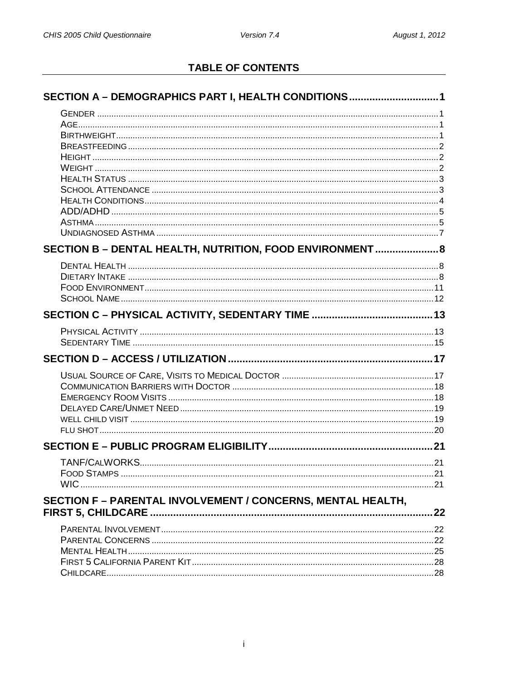# **TABLE OF CONTENTS**

| SECTION A - DEMOGRAPHICS PART I, HEALTH CONDITIONS1                |    |
|--------------------------------------------------------------------|----|
|                                                                    |    |
|                                                                    |    |
|                                                                    |    |
|                                                                    |    |
|                                                                    |    |
|                                                                    |    |
|                                                                    |    |
|                                                                    |    |
|                                                                    |    |
|                                                                    |    |
|                                                                    |    |
|                                                                    |    |
| SECTION B - DENTAL HEALTH, NUTRITION, FOOD ENVIRONMENT  8          |    |
|                                                                    |    |
|                                                                    |    |
|                                                                    |    |
|                                                                    |    |
|                                                                    |    |
|                                                                    |    |
|                                                                    |    |
|                                                                    |    |
|                                                                    |    |
|                                                                    |    |
|                                                                    |    |
|                                                                    |    |
|                                                                    |    |
|                                                                    |    |
|                                                                    |    |
|                                                                    |    |
| <b>FOOD STAMPS</b>                                                 | 21 |
|                                                                    |    |
| <b>SECTION F - PARENTAL INVOLVEMENT / CONCERNS, MENTAL HEALTH,</b> |    |
|                                                                    |    |
|                                                                    |    |
|                                                                    |    |
|                                                                    |    |
|                                                                    |    |
|                                                                    |    |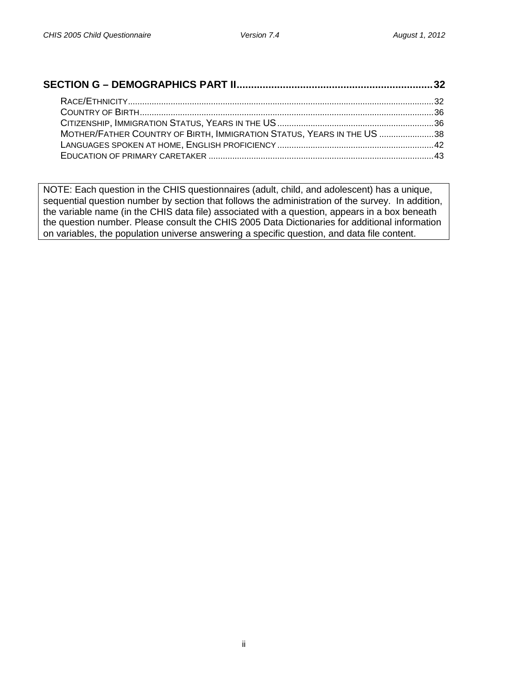| MOTHER/FATHER COUNTRY OF BIRTH, IMMIGRATION STATUS, YEARS IN THE US 38 |  |
|------------------------------------------------------------------------|--|
|                                                                        |  |
|                                                                        |  |

NOTE: Each question in the CHIS questionnaires (adult, child, and adolescent) has a unique, sequential question number by section that follows the administration of the survey. In addition, the variable name (in the CHIS data file) associated with a question, appears in a box beneath the question number. Please consult the CHIS 2005 Data Dictionaries for additional information on variables, the population universe answering a specific question, and data file content.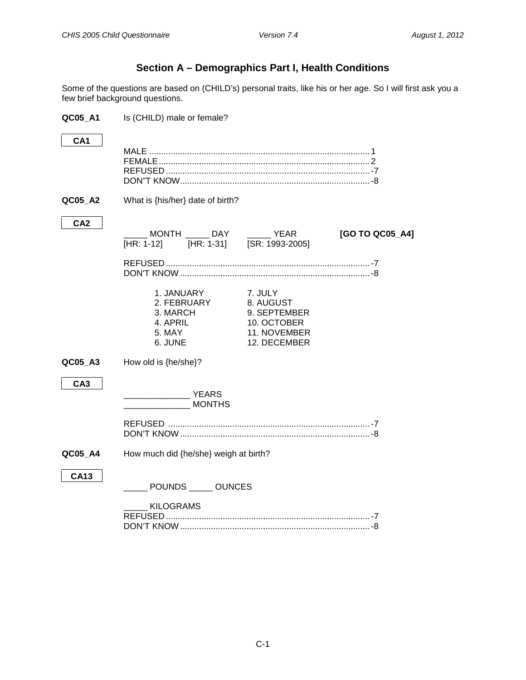# **Section A – Demographics Part I, Health Conditions**

<span id="page-3-0"></span>Some of the questions are based on (CHILD's) personal traits, like his or her age. So I will first ask you a few brief background questions.

<span id="page-3-3"></span><span id="page-3-2"></span><span id="page-3-1"></span>

| QC05_A1         | Is (CHILD) male or female?                                             |                                                                                     |                 |
|-----------------|------------------------------------------------------------------------|-------------------------------------------------------------------------------------|-----------------|
| CA <sub>1</sub> |                                                                        |                                                                                     |                 |
| QC05_A2         | What is {his/her} date of birth?                                       |                                                                                     |                 |
| CA <sub>2</sub> | [HR: 1-12] [HR: 1-31] [SR: 1993-2005]                                  |                                                                                     | [GO TO QC05_A4] |
|                 | 1. JANUARY<br>2. FEBRUARY<br>3. MARCH<br>4. APRIL<br>5. MAY<br>6. JUNE | 7. JULY<br>8. AUGUST<br>9. SEPTEMBER<br>10. OCTOBER<br>11. NOVEMBER<br>12. DECEMBER |                 |
| QC05_A3         | How old is {he/she}?                                                   |                                                                                     |                 |
| CA <sub>3</sub> | <b>YEARS</b><br><b>MONTHS</b>                                          |                                                                                     |                 |
|                 |                                                                        |                                                                                     |                 |
| QC05_A4         | How much did {he/she} weigh at birth?                                  |                                                                                     |                 |
| <b>CA13</b>     | POUNDS _____ OUNCES                                                    |                                                                                     |                 |
|                 | KILOGRAMS                                                              |                                                                                     |                 |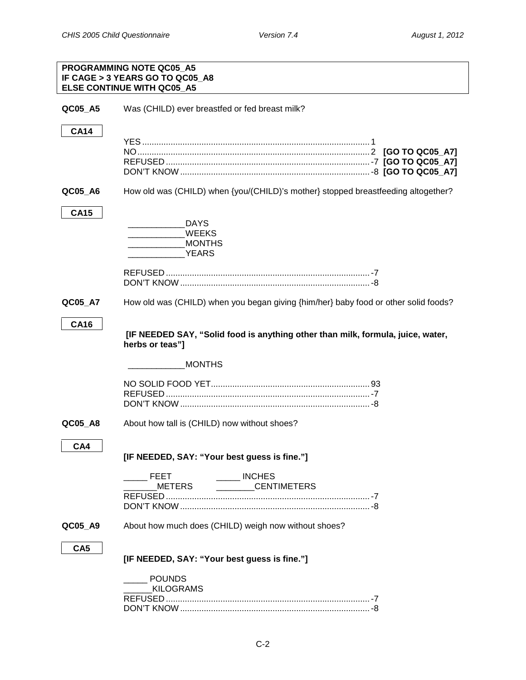<span id="page-4-2"></span><span id="page-4-1"></span><span id="page-4-0"></span>

|                 | PROGRAMMING NOTE QC05 A5<br>IF CAGE > 3 YEARS GO TO QC05 A8<br><b>ELSE CONTINUE WITH QC05_A5</b>                        |
|-----------------|-------------------------------------------------------------------------------------------------------------------------|
| QC05_A5         | Was (CHILD) ever breastfed or fed breast milk?                                                                          |
| <b>CA14</b>     |                                                                                                                         |
| QC05_A6         | How old was (CHILD) when {you/(CHILD)'s mother} stopped breastfeeding altogether?                                       |
| <b>CA15</b>     | <b>DAYS</b><br><b>WEEKS</b><br>$\overline{a}$ . The contract of $\overline{a}$<br><b>MONTHS</b><br><b>EXAMPLE YEARS</b> |
| QC05_A7         | How old was (CHILD) when you began giving {him/her} baby food or other solid foods?                                     |
| <b>CA16</b>     | [IF NEEDED SAY, "Solid food is anything other than milk, formula, juice, water,<br>herbs or teas"]                      |
|                 | <b>MONTHS</b>                                                                                                           |
|                 |                                                                                                                         |
| QC05_A8         | About how tall is (CHILD) now without shoes?                                                                            |
| CA4             | [IF NEEDED, SAY: "Your best guess is fine."]                                                                            |
|                 | $\frac{1}{2}$ INCHES<br><b>FEET</b><br>METERS<br>_________CENTIMETERS                                                   |
|                 |                                                                                                                         |
| QC05_A9         | About how much does (CHILD) weigh now without shoes?                                                                    |
| CA <sub>5</sub> | [IF NEEDED, SAY: "Your best guess is fine."]                                                                            |
|                 | <b>POUNDS</b><br><b>KILOGRAMS</b>                                                                                       |
|                 |                                                                                                                         |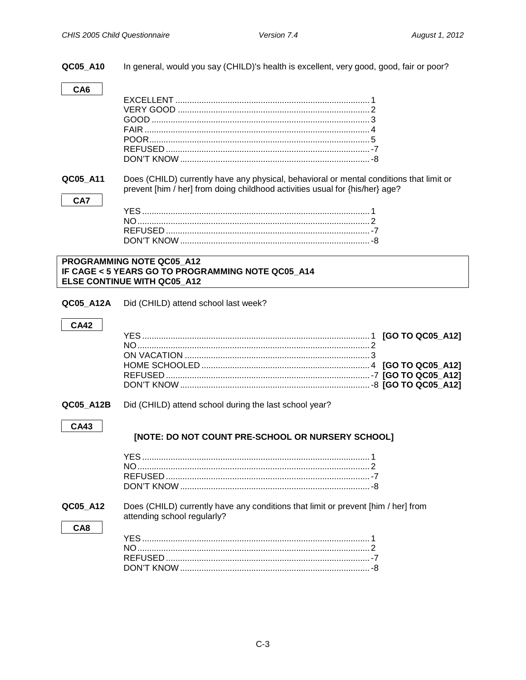<span id="page-5-1"></span><span id="page-5-0"></span>QC05 A10 In general, would you say (CHILD)'s health is excellent, very good, good, fair or poor? CA<sub>6</sub> QC05 A11 Does (CHILD) currently have any physical, behavioral or mental conditions that limit or prevent [him / her] from doing childhood activities usual for {his/her} age? CA7 PROGRAMMING NOTE QC05 A12 IF CAGE < 5 YEARS GO TO PROGRAMMING NOTE QC05 A14 ELSE CONTINUE WITH QC05 A12 QC05 A12A Did (CHILD) attend school last week? **CA42** QC05 A12B Did (CHILD) attend school during the last school year? **CA43** [NOTE: DO NOT COUNT PRE-SCHOOL OR NURSERY SCHOOL] Does (CHILD) currently have any conditions that limit or prevent [him / her] from QC05\_A12 attending school regularly? CA8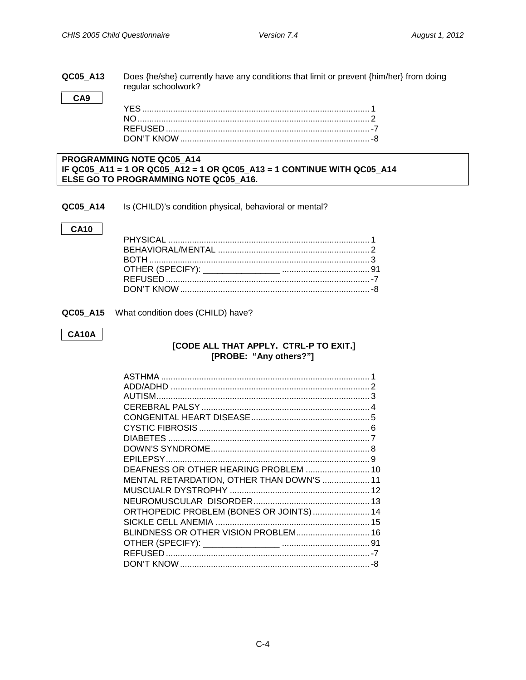### QC05\_A13 Does {he/she} currently have any conditions that limit or prevent {him/her} from doing regular schoolwork?

CA9

### PROGRAMMING NOTE QC05\_A14 IF QC05\_A11 = 1 OR QC05\_A12 = 1 OR QC05\_A13 = 1 CONTINUE WITH QC05\_A14 ELSE GO TO PROGRAMMING NOTE QC05\_A16.

<span id="page-6-0"></span>QC05\_A14 Is (CHILD)'s condition physical, behavioral or mental?

### **CA10**

QC05\_A15 What condition does (CHILD) have?

### **CA10A**

### [CODE ALL THAT APPLY. CTRL-P TO EXIT.] [PROBE: "Any others?"]

| DEAFNESS OR OTHER HEARING PROBLEM  10     |  |
|-------------------------------------------|--|
| MENTAL RETARDATION, OTHER THAN DOWN'S  11 |  |
|                                           |  |
|                                           |  |
| ORTHOPEDIC PROBLEM (BONES OR JOINTS)  14  |  |
|                                           |  |
| BLINDNESS OR OTHER VISION PROBLEM 16      |  |
|                                           |  |
|                                           |  |
|                                           |  |
|                                           |  |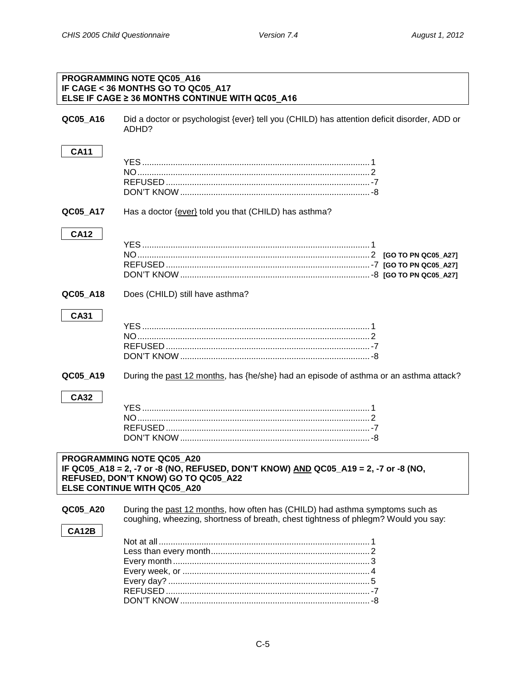<span id="page-7-1"></span><span id="page-7-0"></span>

| PROGRAMMING NOTE QC05_A16<br>IF CAGE < 36 MONTHS GO TO QC05_A17<br>ELSE IF CAGE ≥ 36 MONTHS CONTINUE WITH QC05_A16                                                                     |                                                                                                                                                                    |  |  |
|----------------------------------------------------------------------------------------------------------------------------------------------------------------------------------------|--------------------------------------------------------------------------------------------------------------------------------------------------------------------|--|--|
| QC05_A16                                                                                                                                                                               | Did a doctor or psychologist {ever} tell you (CHILD) has attention deficit disorder, ADD or<br>ADHD?                                                               |  |  |
| <b>CA11</b>                                                                                                                                                                            |                                                                                                                                                                    |  |  |
| QC05_A17                                                                                                                                                                               | Has a doctor {ever} told you that (CHILD) has asthma?                                                                                                              |  |  |
| <b>CA12</b>                                                                                                                                                                            |                                                                                                                                                                    |  |  |
| QC05_A18                                                                                                                                                                               | Does (CHILD) still have asthma?                                                                                                                                    |  |  |
| <b>CA31</b>                                                                                                                                                                            |                                                                                                                                                                    |  |  |
| QC05_A19                                                                                                                                                                               | During the past 12 months, has {he/she} had an episode of asthma or an asthma attack?                                                                              |  |  |
| <b>CA32</b>                                                                                                                                                                            |                                                                                                                                                                    |  |  |
| PROGRAMMING NOTE QC05 A20<br>IF QC05_A18 = 2, -7 or -8 (NO, REFUSED, DON'T KNOW) AND QC05_A19 = 2, -7 or -8 (NO,<br>REFUSED, DON'T KNOW) GO TO QC05_A22<br>ELSE CONTINUE WITH QC05_A20 |                                                                                                                                                                    |  |  |
| QC05_A20<br>CA12B                                                                                                                                                                      | During the past 12 months, how often has (CHILD) had asthma symptoms such as<br>coughing, wheezing, shortness of breath, chest tightness of phlegm? Would you say: |  |  |
|                                                                                                                                                                                        |                                                                                                                                                                    |  |  |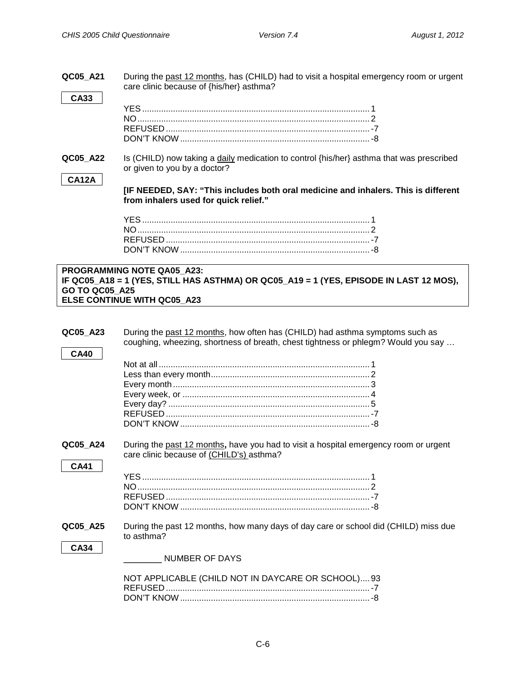| QC05 A21 | During the past 12 months, has (CHILD) had to visit a hospital emergency room or urgent |
|----------|-----------------------------------------------------------------------------------------|
|          | care clinic because of {his/her} asthma?                                                |

**QC05\_A22** Is (CHILD) now taking a daily medication to control {his/her} asthma that was prescribed or given to you by a doctor?

### **CA12A**

**CA33**

**[IF NEEDED, SAY: "This includes both oral medicine and inhalers. This is different from inhalers used for quick relief."**

**PROGRAMMING NOTE QA05\_A23: IF QC05\_A18 = 1 (YES, STILL HAS ASTHMA) OR QC05\_A19 = 1 (YES, EPISODE IN LAST 12 MOS), GO TO QC05\_A25 ELSE CONTINUE WITH QC05\_A23**

| QC05_A23    | During the past 12 months, how often has (CHILD) had asthma symptoms such as         |
|-------------|--------------------------------------------------------------------------------------|
|             | coughing, wheezing, shortness of breath, chest tightness or phlegm? Would you say    |
| <b>CA40</b> |                                                                                      |
|             |                                                                                      |
|             |                                                                                      |
|             |                                                                                      |
|             |                                                                                      |
|             |                                                                                      |
|             |                                                                                      |
|             |                                                                                      |
| QC05_A24    | During the past 12 months, have you had to visit a hospital emergency room or urgent |
|             | care clinic because of (CHILD's) asthma?                                             |
| <b>CA41</b> |                                                                                      |
|             |                                                                                      |
|             |                                                                                      |
|             |                                                                                      |
|             |                                                                                      |
|             |                                                                                      |
| QC05_A25    | During the past 12 months, how many days of day care or school did (CHILD) miss due  |
|             | to asthma?                                                                           |
| <b>CA34</b> |                                                                                      |
|             | NUMBER OF DAYS                                                                       |
|             | NOT APPLICABLE (CHILD NOT IN DAYCARE OR SCHOOL) 93                                   |
|             |                                                                                      |
|             |                                                                                      |
|             |                                                                                      |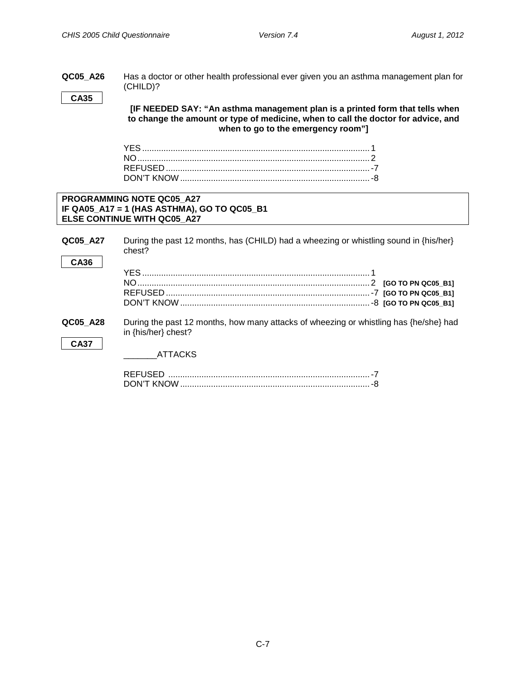<span id="page-9-0"></span>

|             | Has a doctor or other health professional ever given you an asthma management plan for                                                                            |
|-------------|-------------------------------------------------------------------------------------------------------------------------------------------------------------------|
|             | (CHILD)?                                                                                                                                                          |
| <b>CA35</b> |                                                                                                                                                                   |
|             | [IF NEEDED SAY: "An asthma management plan is a printed form that tells when<br>to change the amount or type of medicine, when to call the doctor for advice, and |
|             | when to go to the emergency room"]                                                                                                                                |
|             |                                                                                                                                                                   |
|             |                                                                                                                                                                   |
|             |                                                                                                                                                                   |
|             |                                                                                                                                                                   |
|             |                                                                                                                                                                   |
|             |                                                                                                                                                                   |
|             | PROGRAMMING NOTE QC05 A27                                                                                                                                         |
|             | IF QA05 A17 = 1 (HAS ASTHMA), GO TO QC05 B1                                                                                                                       |
|             | ELSE CONTINUE WITH QC05 A27                                                                                                                                       |
|             |                                                                                                                                                                   |
| QC05 A27    | During the past 12 months, has (CHILD) had a wheezing or whistling sound in {his/her}                                                                             |
|             | chest?                                                                                                                                                            |
| <b>CA36</b> |                                                                                                                                                                   |
|             |                                                                                                                                                                   |
|             |                                                                                                                                                                   |
|             |                                                                                                                                                                   |
|             |                                                                                                                                                                   |
|             |                                                                                                                                                                   |
|             |                                                                                                                                                                   |
| QC05 A28    | During the past 12 months, how many attacks of wheezing or whistling has {he/she} had                                                                             |
|             | in {his/her} chest?                                                                                                                                               |
| <b>CA37</b> |                                                                                                                                                                   |
|             | ATTACKS                                                                                                                                                           |
|             |                                                                                                                                                                   |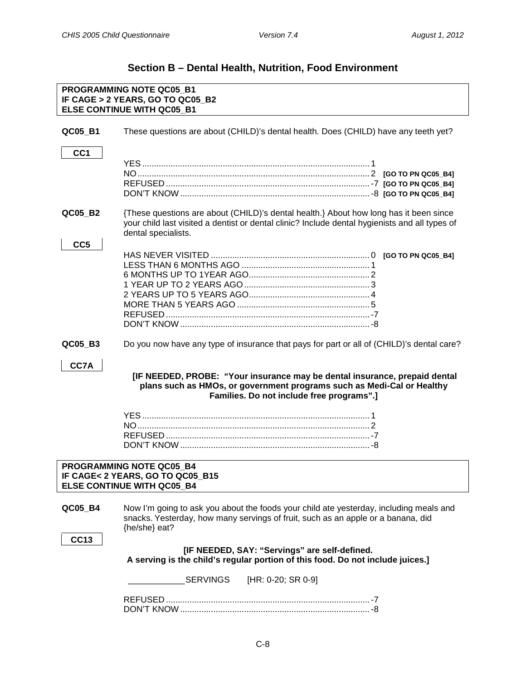# **Section B – Dental Health, Nutrition, Food Environment**

<span id="page-10-2"></span><span id="page-10-1"></span><span id="page-10-0"></span>

| PROGRAMMING NOTE QC05_B1<br>IF CAGE > 2 YEARS, GO TO QC05_B2<br><b>ELSE CONTINUE WITH QC05 B1</b> |                                                                                                                                                                                                                |  |
|---------------------------------------------------------------------------------------------------|----------------------------------------------------------------------------------------------------------------------------------------------------------------------------------------------------------------|--|
| QC05 B1                                                                                           | These questions are about (CHILD)'s dental health. Does (CHILD) have any teeth yet?                                                                                                                            |  |
| CC <sub>1</sub>                                                                                   |                                                                                                                                                                                                                |  |
|                                                                                                   |                                                                                                                                                                                                                |  |
|                                                                                                   |                                                                                                                                                                                                                |  |
|                                                                                                   |                                                                                                                                                                                                                |  |
|                                                                                                   |                                                                                                                                                                                                                |  |
| QC05_B2                                                                                           | {These questions are about (CHILD)'s dental health.} About how long has it been since<br>your child last visited a dentist or dental clinic? Include dental hygienists and all types of<br>dental specialists. |  |
| CC <sub>5</sub>                                                                                   |                                                                                                                                                                                                                |  |
|                                                                                                   |                                                                                                                                                                                                                |  |
|                                                                                                   |                                                                                                                                                                                                                |  |
|                                                                                                   |                                                                                                                                                                                                                |  |
|                                                                                                   |                                                                                                                                                                                                                |  |
|                                                                                                   |                                                                                                                                                                                                                |  |
|                                                                                                   |                                                                                                                                                                                                                |  |
| QC05_B3                                                                                           | Do you now have any type of insurance that pays for part or all of (CHILD)'s dental care?                                                                                                                      |  |
| CC7A                                                                                              | [IF NEEDED, PROBE: "Your insurance may be dental insurance, prepaid dental<br>plans such as HMOs, or government programs such as Medi-Cal or Healthy<br>Families. Do not include free programs".]              |  |
|                                                                                                   |                                                                                                                                                                                                                |  |
|                                                                                                   |                                                                                                                                                                                                                |  |
|                                                                                                   |                                                                                                                                                                                                                |  |
|                                                                                                   |                                                                                                                                                                                                                |  |
|                                                                                                   | PROGRAMMING NOTE QC05_B4<br>IF CAGE< 2 YEARS, GO TO QC05_B15<br><b>ELSE CONTINUE WITH QC05 B4</b>                                                                                                              |  |
|                                                                                                   |                                                                                                                                                                                                                |  |
| QC05_B4                                                                                           | Now I'm going to ask you about the foods your child ate yesterday, including meals and<br>snacks. Yesterday, how many servings of fruit, such as an apple or a banana, did<br>{he/she} eat?                    |  |
| <b>CC13</b>                                                                                       |                                                                                                                                                                                                                |  |
|                                                                                                   | [IF NEEDED, SAY: "Servings" are self-defined.<br>A serving is the child's regular portion of this food. Do not include juices.]                                                                                |  |
|                                                                                                   | SERVINGS<br>$[HR: 0-20; SR 0-9]$                                                                                                                                                                               |  |
|                                                                                                   |                                                                                                                                                                                                                |  |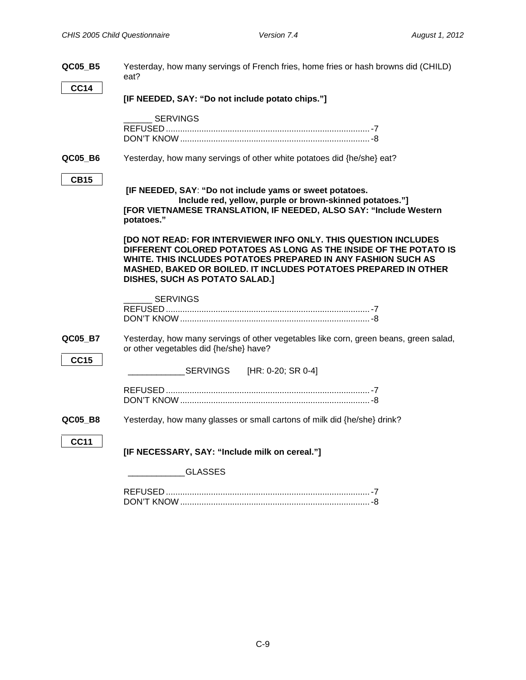| QC05_B5<br><b>CC14</b> | Yesterday, how many servings of French fries, home fries or hash browns did (CHILD)<br>eat?                                                                                                                                                                                                                |
|------------------------|------------------------------------------------------------------------------------------------------------------------------------------------------------------------------------------------------------------------------------------------------------------------------------------------------------|
|                        | [IF NEEDED, SAY: "Do not include potato chips."]                                                                                                                                                                                                                                                           |
|                        | <b>SERVINGS</b>                                                                                                                                                                                                                                                                                            |
| QC05_B6                | Yesterday, how many servings of other white potatoes did {he/she} eat?                                                                                                                                                                                                                                     |
| <b>CB15</b>            | [IF NEEDED, SAY: "Do not include yams or sweet potatoes.<br>Include red, yellow, purple or brown-skinned potatoes."]<br>[FOR VIETNAMESE TRANSLATION, IF NEEDED, ALSO SAY: "Include Western<br>potatoes."                                                                                                   |
|                        | [DO NOT READ: FOR INTERVIEWER INFO ONLY. THIS QUESTION INCLUDES<br>DIFFERENT COLORED POTATOES AS LONG AS THE INSIDE OF THE POTATO IS<br>WHITE. THIS INCLUDES POTATOES PREPARED IN ANY FASHION SUCH AS<br>MASHED, BAKED OR BOILED. IT INCLUDES POTATOES PREPARED IN OTHER<br>DISHES, SUCH AS POTATO SALAD.] |
|                        | <b>SERVINGS</b>                                                                                                                                                                                                                                                                                            |
| QC05_B7                | Yesterday, how many servings of other vegetables like corn, green beans, green salad,<br>or other vegetables did {he/she} have?                                                                                                                                                                            |
| <b>CC15</b>            | <b>SERVINGS</b><br>[HR: 0-20; SR 0-4]                                                                                                                                                                                                                                                                      |
|                        |                                                                                                                                                                                                                                                                                                            |
| QC05_B8                | Yesterday, how many glasses or small cartons of milk did {he/she} drink?                                                                                                                                                                                                                                   |
| <b>CC11</b>            | [IF NECESSARY, SAY: "Include milk on cereal."]                                                                                                                                                                                                                                                             |
|                        | <b>GLASSES</b>                                                                                                                                                                                                                                                                                             |
|                        |                                                                                                                                                                                                                                                                                                            |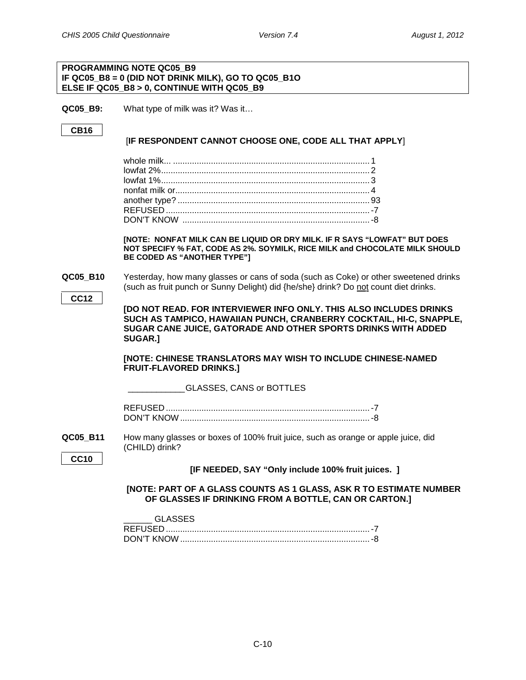### **PROGRAMMING NOTE QC05\_B9 IF QC05\_B8 = 0 (DID NOT DRINK MILK), GO TO QC05\_B1O ELSE IF QC05\_B8 > 0, CONTINUE WITH QC05\_B9**

**QC05 B9:** What type of milk was it? Was it…

### **CB16**

### [**IF RESPONDENT CANNOT CHOOSE ONE, CODE ALL THAT APPLY**]

**[NOTE: NONFAT MILK CAN BE LIQUID OR DRY MILK. IF R SAYS "LOWFAT" BUT DOES NOT SPECIFY % FAT, CODE AS 2%. SOYMILK, RICE MILK and CHOCOLATE MILK SHOULD BE CODED AS "ANOTHER TYPE"]**

### **QC05 B10** Yesterday, how many glasses or cans of soda (such as Coke) or other sweetened drinks (such as fruit punch or Sunny Delight) did {he/she} drink? Do not count diet drinks.

**CC12**

**[DO NOT READ. FOR INTERVIEWER INFO ONLY. THIS ALSO INCLUDES DRINKS SUCH AS TAMPICO, HAWAIIAN PUNCH, CRANBERRY COCKTAIL, HI-C, SNAPPLE, SUGAR CANE JUICE, GATORADE AND OTHER SPORTS DRINKS WITH ADDED SUGAR.]**

**[NOTE: CHINESE TRANSLATORS MAY WISH TO INCLUDE CHINESE-NAMED FRUIT-FLAVORED DRINKS.]**

GLASSES, CANS or BOTTLES

**QC05\_B11** How many glasses or boxes of 100% fruit juice, such as orange or apple juice, did (CHILD) drink?

**CC10**

**[IF NEEDED, SAY "Only include 100% fruit juices. ]**

### **[NOTE: PART OF A GLASS COUNTS AS 1 GLASS, ASK R TO ESTIMATE NUMBER OF GLASSES IF DRINKING FROM A BOTTLE, CAN OR CARTON.]**

| GLASSES    |  |
|------------|--|
|            |  |
| DON'T KNOW |  |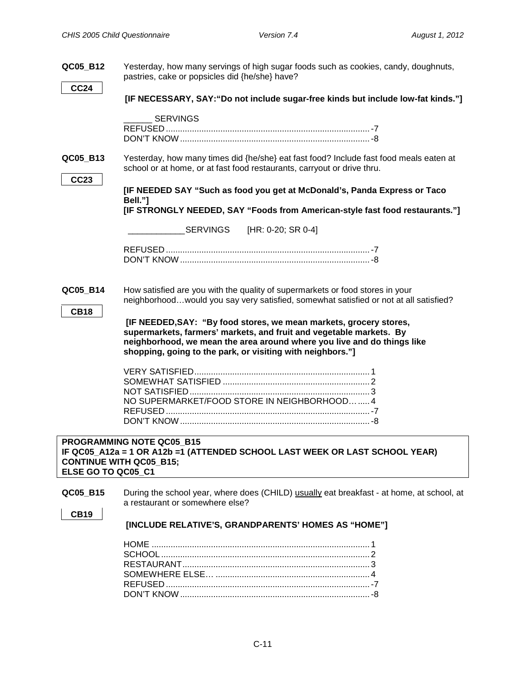<span id="page-13-0"></span>

| QC05_B12                                             | Yesterday, how many servings of high sugar foods such as cookies, candy, doughnuts,<br>pastries, cake or popsicles did {he/she} have?                                                                                                                                              |
|------------------------------------------------------|------------------------------------------------------------------------------------------------------------------------------------------------------------------------------------------------------------------------------------------------------------------------------------|
| <b>CC24</b>                                          | [IF NECESSARY, SAY: "Do not include sugar-free kinds but include low-fat kinds."]                                                                                                                                                                                                  |
|                                                      | <b>SERVINGS</b>                                                                                                                                                                                                                                                                    |
| QC05_B13<br><b>CC23</b>                              | Yesterday, how many times did {he/she} eat fast food? Include fast food meals eaten at<br>school or at home, or at fast food restaurants, carryout or drive thru.                                                                                                                  |
|                                                      | [IF NEEDED SAY "Such as food you get at McDonald's, Panda Express or Taco<br>Bell."]<br>[IF STRONGLY NEEDED, SAY "Foods from American-style fast food restaurants."]                                                                                                               |
|                                                      | <b>SERVINGS</b><br>[HR: 0-20; SR 0-4]                                                                                                                                                                                                                                              |
|                                                      |                                                                                                                                                                                                                                                                                    |
| QC05_B14<br><b>CB18</b>                              | How satisfied are you with the quality of supermarkets or food stores in your<br>neighborhoodwould you say very satisfied, somewhat satisfied or not at all satisfied?                                                                                                             |
|                                                      | [IF NEEDED, SAY: "By food stores, we mean markets, grocery stores,<br>supermarkets, farmers' markets, and fruit and vegetable markets. By<br>neighborhood, we mean the area around where you live and do things like<br>shopping, going to the park, or visiting with neighbors."] |
|                                                      | NO SUPERMARKET/FOOD STORE IN NEIGHBORHOOD 4                                                                                                                                                                                                                                        |
| <b>CONTINUE WITH QC05 B15;</b><br>ELSE GO TO QC05_C1 | PROGRAMMING NOTE QC05 B15<br>IF QC05_A12a = 1 OR A12b =1 (ATTENDED SCHOOL LAST WEEK OR LAST SCHOOL YEAR)                                                                                                                                                                           |
| QC05_B15                                             | During the school year, where does (CHILD) usually eat breakfast - at home, at school, at<br>a restaurant or somewhere else?                                                                                                                                                       |
| <b>CB19</b>                                          | [INCLUDE RELATIVE'S, GRANDPARENTS' HOMES AS "HOME"]                                                                                                                                                                                                                                |
|                                                      |                                                                                                                                                                                                                                                                                    |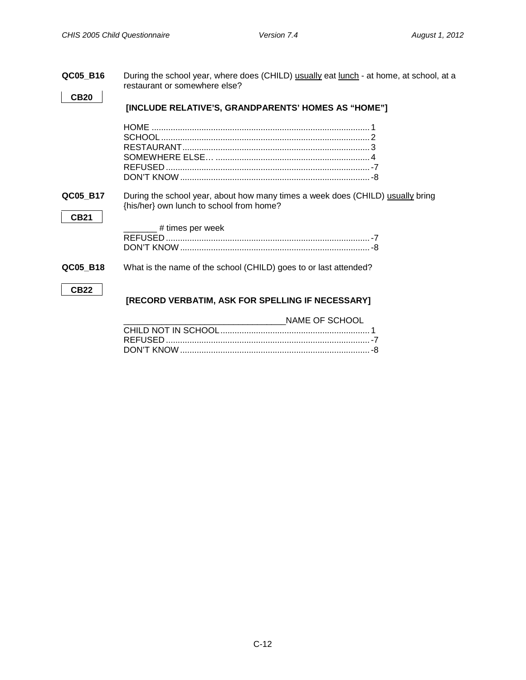<span id="page-14-0"></span>

| QC05_B16    | During the school year, where does (CHILD) usually eat lunch - at home, at school, at a<br>restaurant or somewhere else?   |
|-------------|----------------------------------------------------------------------------------------------------------------------------|
| <b>CB20</b> | [INCLUDE RELATIVE'S, GRANDPARENTS' HOMES AS "HOME"]                                                                        |
|             |                                                                                                                            |
|             |                                                                                                                            |
|             |                                                                                                                            |
| QC05_B17    | During the school year, about how many times a week does (CHILD) usually bring<br>{his/her} own lunch to school from home? |
| <b>CB21</b> | ______ # times per week                                                                                                    |
|             |                                                                                                                            |
| QC05_B18    | What is the name of the school (CHILD) goes to or last attended?                                                           |
| <b>CB22</b> | [RECORD VERBATIM, ASK FOR SPELLING IF NECESSARY]                                                                           |
|             | NAME OF SCHOOL                                                                                                             |
|             |                                                                                                                            |
|             |                                                                                                                            |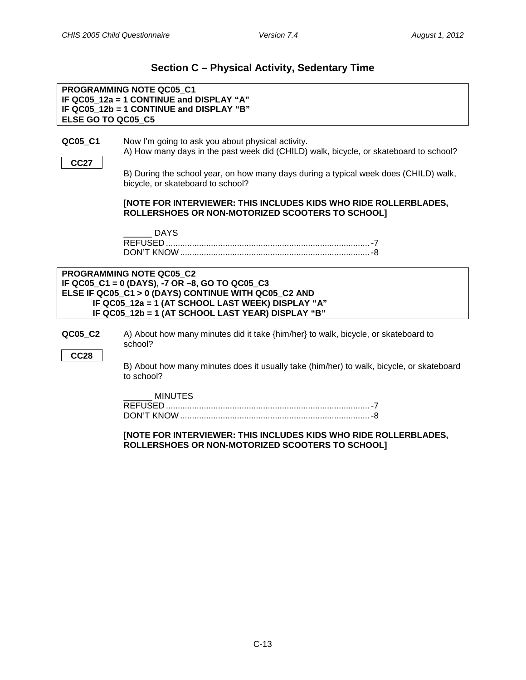### **Section C – Physical Activity, Sedentary Time**

<span id="page-15-0"></span>**PROGRAMMING NOTE QC05\_C1 IF QC05\_12a = 1 CONTINUE and DISPLAY "A" IF QC05\_12b = 1 CONTINUE and DISPLAY "B" ELSE GO TO QC05\_C5**

<span id="page-15-1"></span>**QC05\_C1** Now I'm going to ask you about physical activity.

A) How many days in the past week did (CHILD) walk, bicycle, or skateboard to school?

B) During the school year, on how many days during a typical week does (CHILD) walk, bicycle, or skateboard to school?

### **[NOTE FOR INTERVIEWER: THIS INCLUDES KIDS WHO RIDE ROLLERBLADES, ROLLERSHOES OR NON-MOTORIZED SCOOTERS TO SCHOOL]**

| <b>REFUSED</b> |  |
|----------------|--|
| DON'T KNOW     |  |

| <b>PROGRAMMING NOTE QC05 C2</b>                      |
|------------------------------------------------------|
| IF QC05_C1 = 0 (DAYS), -7 OR -8, GO TO QC05_C3       |
| ELSE IF QC05_C1 > 0 (DAYS) CONTINUE WITH QC05_C2 AND |
| IF QC05 12a = 1 (AT SCHOOL LAST WEEK) DISPLAY "A"    |
| IF QC05_12b = 1 (AT SCHOOL LAST YEAR) DISPLAY "B"    |

**QC05\_C2** A) About how many minutes did it take {him/her} to walk, bicycle, or skateboard to school?

**CC28**

**CC27**

B) About how many minutes does it usually take (him/her) to walk, bicycle, or skateboard to school?

 $\_$  MINUTES

| DON'T KNC |  |
|-----------|--|

**[NOTE FOR INTERVIEWER: THIS INCLUDES KIDS WHO RIDE ROLLERBLADES, ROLLERSHOES OR NON-MOTORIZED SCOOTERS TO SCHOOL]**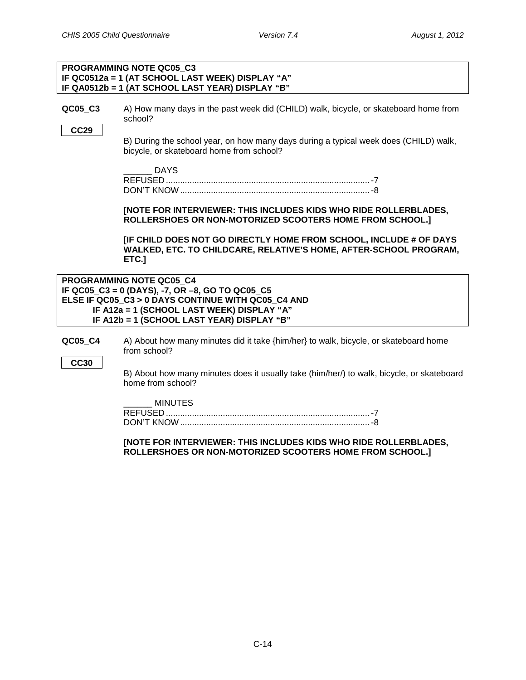### **PROGRAMMING NOTE QC05\_C3 IF QC0512a = 1 (AT SCHOOL LAST WEEK) DISPLAY "A" IF QA0512b = 1 (AT SCHOOL LAST YEAR) DISPLAY "B"**

**QC05 C3** A) How many days in the past week did (CHILD) walk, bicycle, or skateboard home from school?

**CC29**

B) During the school year, on how many days during a typical week does (CHILD) walk, bicycle, or skateboard home from school?

| <b>REFUSED</b> |  |
|----------------|--|
| DON'T KNOW     |  |

### **[NOTE FOR INTERVIEWER: THIS INCLUDES KIDS WHO RIDE ROLLERBLADES, ROLLERSHOES OR NON-MOTORIZED SCOOTERS HOME FROM SCHOOL.]**

**[IF CHILD DOES NOT GO DIRECTLY HOME FROM SCHOOL, INCLUDE # OF DAYS WALKED, ETC. TO CHILDCARE, RELATIVE'S HOME, AFTER-SCHOOL PROGRAM, ETC.]**

**PROGRAMMING NOTE QC05\_C4 IF QC05\_C3 = 0 (DAYS), -7, OR –8, GO TO QC05\_C5 ELSE IF QC05\_C3 > 0 DAYS CONTINUE WITH QC05\_C4 AND IF A12a = 1 (SCHOOL LAST WEEK) DISPLAY "A" IF A12b = 1 (SCHOOL LAST YEAR) DISPLAY "B"**

**QC05 C4** A) About how many minutes did it take {him/her} to walk, bicycle, or skateboard home from school?

**CC30**

B) About how many minutes does it usually take (him/her/) to walk, bicycle, or skateboard home from school?

\_\_\_\_\_\_ MINUTES

### **[NOTE FOR INTERVIEWER: THIS INCLUDES KIDS WHO RIDE ROLLERBLADES, ROLLERSHOES OR NON-MOTORIZED SCOOTERS HOME FROM SCHOOL.]**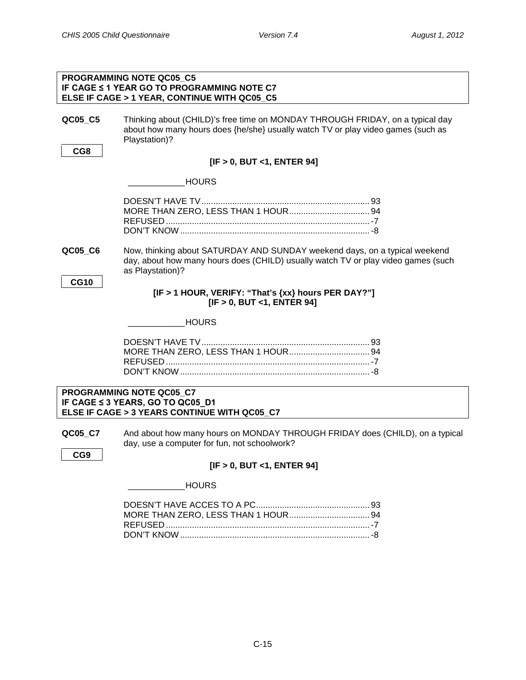<span id="page-17-0"></span>

|                | PROGRAMMING NOTE QC05 C5<br><b>IF CAGE ≤ 1 YEAR GO TO PROGRAMMING NOTE C7</b><br>ELSE IF CAGE > 1 YEAR, CONTINUE WITH QC05_C5                                                       |
|----------------|-------------------------------------------------------------------------------------------------------------------------------------------------------------------------------------|
| QC05_C5<br>CG8 | Thinking about (CHILD)'s free time on MONDAY THROUGH FRIDAY, on a typical day<br>about how many hours does {he/she} usually watch TV or play video games (such as<br>Playstation)?  |
|                | [IF > 0, BUT < 1, ENTER 94]                                                                                                                                                         |
|                | <b>HOURS</b>                                                                                                                                                                        |
|                |                                                                                                                                                                                     |
| QC05_C6        | Now, thinking about SATURDAY AND SUNDAY weekend days, on a typical weekend<br>day, about how many hours does (CHILD) usually watch TV or play video games (such<br>as Playstation)? |
| <b>CG10</b>    | [IF > 1 HOUR, VERIFY: "That's {xx} hours PER DAY?"]<br>[IF > 0, BUT <1, ENTER 94]                                                                                                   |
|                | <b>HOURS</b>                                                                                                                                                                        |
|                |                                                                                                                                                                                     |
|                | PROGRAMMING NOTE QC05 C7<br>IF CAGE ≤ 3 YEARS, GO TO QC05_D1<br>ELSE IF CAGE > 3 YEARS CONTINUE WITH QC05 C7                                                                        |
| QC05_C7        | And about how many hours on MONDAY THROUGH FRIDAY does (CHILD), on a typical<br>day, use a computer for fun, not schoolwork?                                                        |
| CG9            | [IF > 0, BUT <1, ENTER 94]                                                                                                                                                          |
|                | <b>HOURS</b>                                                                                                                                                                        |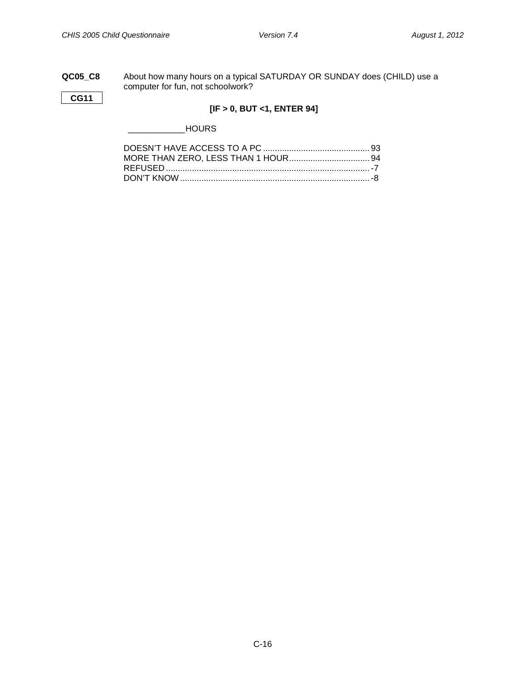### **QC05\_C8** About how many hours on a typical SATURDAY OR SUNDAY does (CHILD) use a computer for fun, not schoolwork?

**CG11**

### **[IF > 0, BUT <1, ENTER 94]**

\_\_\_\_\_\_\_\_\_\_\_\_HOURS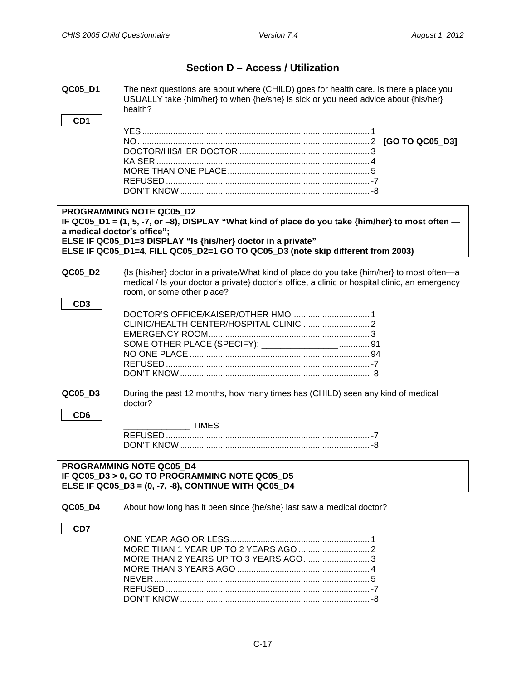### **Section D – Access / Utilization**

<span id="page-19-1"></span><span id="page-19-0"></span>**QC05\_D1** The next questions are about where (CHILD) goes for health care. Is there a place you USUALLY take {him/her} to when {he/she} is sick or you need advice about {his/her} health?

**CD1**

### **PROGRAMMING NOTE QC05\_D2 IF QC05\_D1 = (1, 5, -7, or –8), DISPLAY "What kind of place do you take {him/her} to most often a medical doctor's office"; ELSE IF QC05\_D1=3 DISPLAY "Is {his/her} doctor in a private" ELSE IF QC05\_D1=4, FILL QC05\_D2=1 GO TO QC05\_D3 (note skip different from 2003)**

**QC05 D2** {Is {his/her} doctor in a private/What kind of place do you take {him/her} to most often—a medical / Is your doctor a private} doctor's office, a clinic or hospital clinic, an emergency room, or some other place?

| SOME OTHER PLACE (SPECIFY): __________________ 91 |  |
|---------------------------------------------------|--|
|                                                   |  |
|                                                   |  |
|                                                   |  |

- **QC05\_D3** During the past 12 months, how many times has (CHILD) seen any kind of medical doctor?
	- **CD6**

**CD3**

| <b>REFUSED</b> |  |
|----------------|--|
| DON'T KNOW     |  |

### **PROGRAMMING NOTE QC05\_D4 IF QC05\_D3 > 0, GO TO PROGRAMMING NOTE QC05\_D5 ELSE IF QC05\_D3 = (0, -7, -8), CONTINUE WITH QC05\_D4**

**QC05 D4** About how long has it been since {he/she} last saw a medical doctor?

**CD7**

| MORE THAN 2 YEARS UP TO 3 YEARS AGO3 |  |
|--------------------------------------|--|
|                                      |  |
|                                      |  |
|                                      |  |
|                                      |  |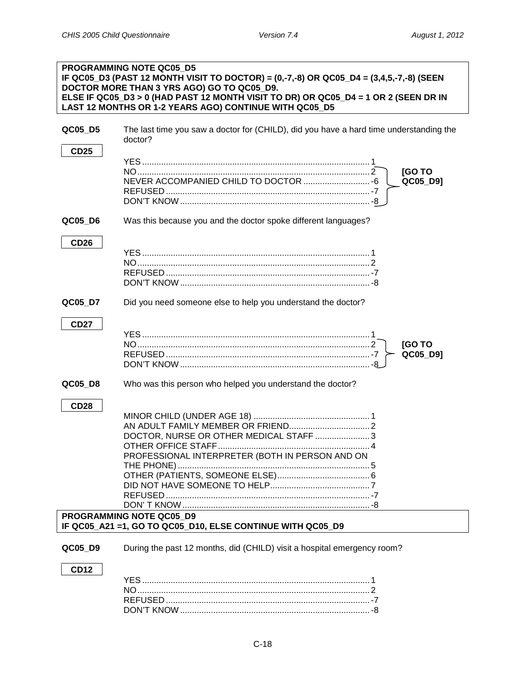<span id="page-20-0"></span>

|                        | <b>PROGRAMMING NOTE QC05 D5</b><br>IF QC05_D3 (PAST 12 MONTH VISIT TO DOCTOR) = (0,-7,-8) OR QC05_D4 = (3,4,5,-7,-8) (SEEN<br>DOCTOR MORE THAN 3 YRS AGO) GO TO QC05_D9.<br>ELSE IF QC05_D3 > 0 (HAD PAST 12 MONTH VISIT TO DR) OR QC05_D4 = 1 OR 2 (SEEN DR IN<br>LAST 12 MONTHS OR 1-2 YEARS AGO) CONTINUE WITH QC05_D5 |
|------------------------|---------------------------------------------------------------------------------------------------------------------------------------------------------------------------------------------------------------------------------------------------------------------------------------------------------------------------|
| QC05_D5                | The last time you saw a doctor for (CHILD), did you have a hard time understanding the<br>doctor?                                                                                                                                                                                                                         |
| <b>CD25</b>            | [GO TO<br>NEVER ACCOMPANIED CHILD TO DOCTOR  - 6<br>QC05_D9]                                                                                                                                                                                                                                                              |
| QC05_D6                | Was this because you and the doctor spoke different languages?                                                                                                                                                                                                                                                            |
| <b>CD26</b>            |                                                                                                                                                                                                                                                                                                                           |
| QC05_D7                | Did you need someone else to help you understand the doctor?                                                                                                                                                                                                                                                              |
| <b>CD27</b>            | <b>[GOTO</b><br>QC05_D9]                                                                                                                                                                                                                                                                                                  |
| QC05_D8                | Who was this person who helped you understand the doctor?                                                                                                                                                                                                                                                                 |
| <b>CD28</b>            | DOCTOR, NURSE OR OTHER MEDICAL STAFF  3<br>PROFESSIONAL INTERPRETER (BOTH IN PERSON AND ON                                                                                                                                                                                                                                |
|                        | PROGRAMMING NOTE QC05 D9<br>IF QC05_A21 =1, GO TO QC05_D10, ELSE CONTINUE WITH QC05_D9                                                                                                                                                                                                                                    |
| QC05 D9<br><b>CD12</b> | During the past 12 months, did (CHILD) visit a hospital emergency room?                                                                                                                                                                                                                                                   |

<span id="page-20-1"></span>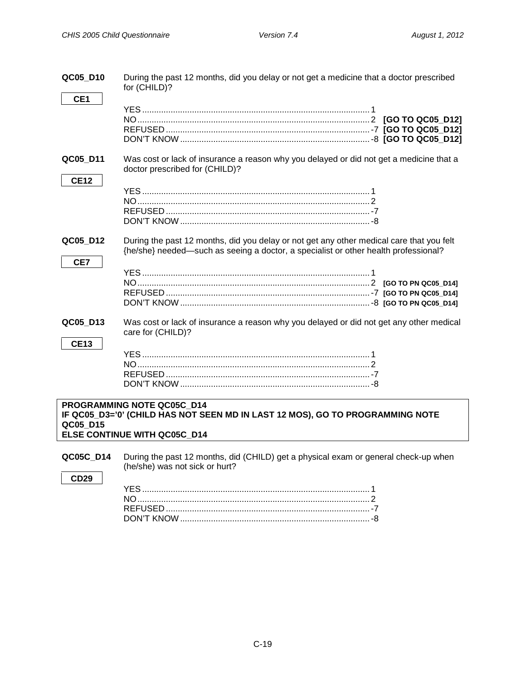<span id="page-21-0"></span>

| QC05 D10                | During the past 12 months, did you delay or not get a medicine that a doctor prescribed<br>for (CHILD)?                                                                         |
|-------------------------|---------------------------------------------------------------------------------------------------------------------------------------------------------------------------------|
| CE <sub>1</sub>         |                                                                                                                                                                                 |
| QC05 D11<br><b>CE12</b> | Was cost or lack of insurance a reason why you delayed or did not get a medicine that a<br>doctor prescribed for (CHILD)?                                                       |
| QC05 D12<br>CE7         | During the past 12 months, did you delay or not get any other medical care that you felt<br>{he/she} needed—such as seeing a doctor, a specialist or other health professional? |
| QC05_D13<br><b>CE13</b> | Was cost or lack of insurance a reason why you delayed or did not get any other medical<br>care for (CHILD)?                                                                    |
|                         | PROGRAMMING NOTE QC05C D14<br>IF QC05_D3='0' (CHILD HAS NOT SEEN MD IN LAST 12 MOS), GO TO PROGRAMMING NOTE                                                                     |

**QC05\_D15 ELSE CONTINUE WITH QC05C\_D14**

<span id="page-21-1"></span>**QC05C\_D14** During the past 12 months, did (CHILD) get a physical exam or general check-up when (he/she) was not sick or hurt?

**CD29**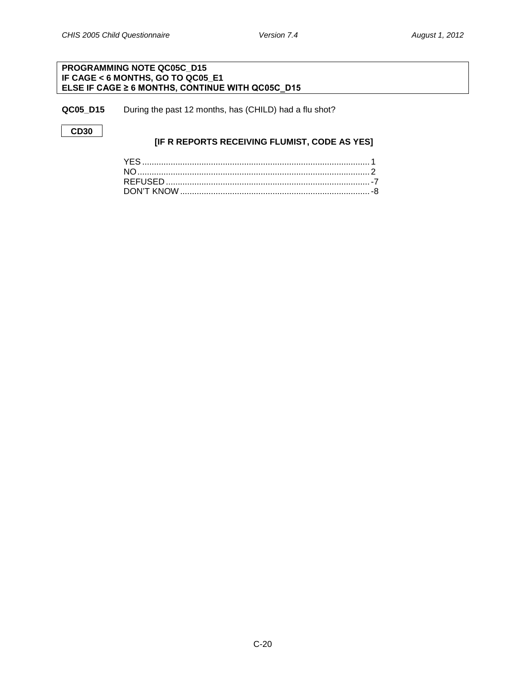### **PROGRAMMING NOTE QC05C\_D15 IF CAGE < 6 MONTHS, GO TO QC05\_E1 ELSE IF CAGE ≥ 6 MONTHS, CONTINUE WITH QC05C\_D15**

<span id="page-22-0"></span>**QC05\_D15** During the past 12 months, has (CHILD) had a flu shot?

**CD30**

### **[IF R REPORTS RECEIVING FLUMIST, CODE AS YES]**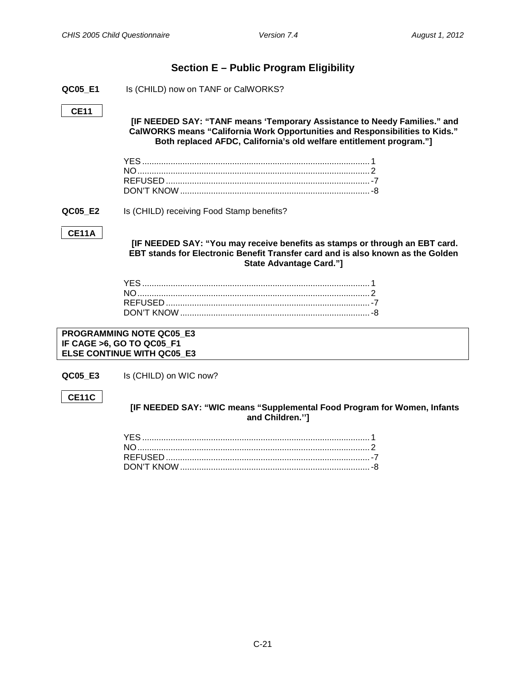### **Section E – Public Program Eligibility**

<span id="page-23-1"></span><span id="page-23-0"></span>**QC05\_E1** Is (CHILD) now on TANF or CalWORKS?

### **CE11**

**[IF NEEDED SAY: "TANF means 'Temporary Assistance to Needy Families." and CalWORKS means "California Work Opportunities and Responsibilities to Kids." Both replaced AFDC, California's old welfare entitlement program."]**

<span id="page-23-2"></span>**QC05\_E2** Is (CHILD) receiving Food Stamp benefits?

### **CE11A**

**[IF NEEDED SAY: "You may receive benefits as stamps or through an EBT card. EBT stands for Electronic Benefit Transfer card and is also known as the Golden State Advantage Card."]**

**PROGRAMMING NOTE QC05\_E3 IF CAGE >6, GO TO QC05\_F1 ELSE CONTINUE WITH QC05\_E3**

<span id="page-23-3"></span>**QC05 E3** Is (CHILD) on WIC now?

### **CE11C**

**[IF NEEDED SAY: "WIC means "Supplemental Food Program for Women, Infants and Children.'']**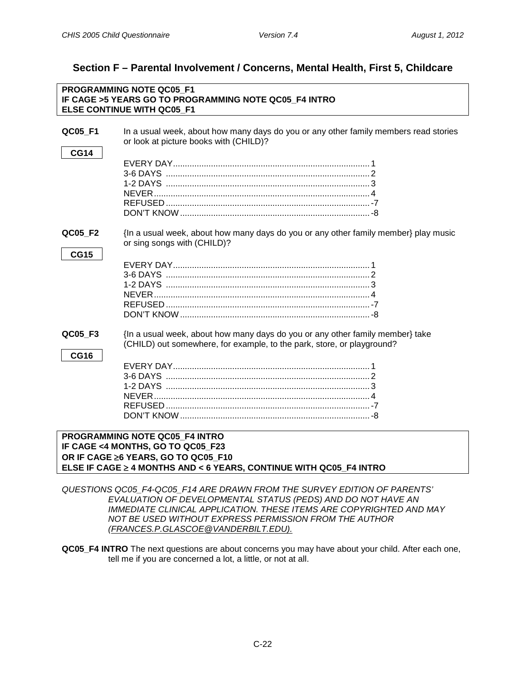# <span id="page-24-0"></span>**Section F – Parental Involvement / Concerns, Mental Health, First 5, Childcare**

<span id="page-24-1"></span>

| PROGRAMMING NOTE QC05 F1 |                                                                                                                                |  |
|--------------------------|--------------------------------------------------------------------------------------------------------------------------------|--|
|                          | IF CAGE >5 YEARS GO TO PROGRAMMING NOTE QC05 F4 INTRO                                                                          |  |
|                          | <b>ELSE CONTINUE WITH QC05 F1</b>                                                                                              |  |
|                          |                                                                                                                                |  |
| QC05_F1                  | In a usual week, about how many days do you or any other family members read stories<br>or look at picture books with (CHILD)? |  |
|                          |                                                                                                                                |  |
| <b>CG14</b>              |                                                                                                                                |  |
|                          |                                                                                                                                |  |
|                          |                                                                                                                                |  |
|                          |                                                                                                                                |  |
|                          |                                                                                                                                |  |
|                          |                                                                                                                                |  |
|                          |                                                                                                                                |  |
| QC05_F2                  | {In a usual week, about how many days do you or any other family member} play music                                            |  |
|                          | or sing songs with (CHILD)?                                                                                                    |  |
| <b>CG15</b>              |                                                                                                                                |  |
|                          |                                                                                                                                |  |
|                          | 3-6 DAYS (and the contract of the contract of the contract of the contract of the contract of the contract of t                |  |
|                          |                                                                                                                                |  |
|                          |                                                                                                                                |  |
|                          |                                                                                                                                |  |
|                          |                                                                                                                                |  |
| QC05 F3                  | {In a usual week, about how many days do you or any other family member} take                                                  |  |
|                          | (CHILD) out somewhere, for example, to the park, store, or playground?                                                         |  |
| <b>CG16</b>              |                                                                                                                                |  |
|                          |                                                                                                                                |  |
|                          |                                                                                                                                |  |
|                          |                                                                                                                                |  |
|                          |                                                                                                                                |  |
|                          |                                                                                                                                |  |
|                          |                                                                                                                                |  |
|                          |                                                                                                                                |  |
|                          | PROGRAMMING NOTE QC05 F4 INTRO                                                                                                 |  |
|                          | IF CAGE <4 MONTHS, GO TO QC05_F23                                                                                              |  |
|                          | OR IF CAGE ≥6 YEARS, GO TO QC05_F10                                                                                            |  |
|                          | ELSE IF CAGE ≥ 4 MONTHS AND < 6 YEARS, CONTINUE WITH QC05 F4 INTRO                                                             |  |

<span id="page-24-2"></span>*QUESTIONS QC05\_F4-QC05\_F14 ARE DRAWN FROM THE SURVEY EDITION OF PARENTS' EVALUATION OF DEVELOPMENTAL STATUS (PEDS) AND DO NOT HAVE AN IMMEDIATE CLINICAL APPLICATION. THESE ITEMS ARE COPYRIGHTED AND MAY NOT BE USED WITHOUT EXPRESS PERMISSION FROM THE AUTHOR (FRANCES.P.GLASCOE@VANDERBILT.EDU).*

**QC05\_F4 INTRO** The next questions are about concerns you may have about your child. After each one, tell me if you are concerned a lot, a little, or not at all.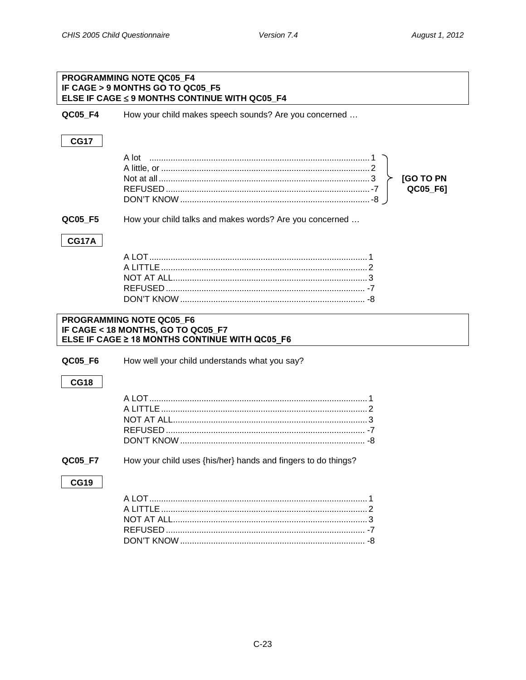|              | PROGRAMMING NOTE QC05 F4<br>IF CAGE > 9 MONTHS GO TO QC05 F5<br>ELSE IF CAGE ≤ 9 MONTHS CONTINUE WITH QC05_F4 |
|--------------|---------------------------------------------------------------------------------------------------------------|
| QC05 F4      | How your child makes speech sounds? Are you concerned                                                         |
| <b>CG17</b>  |                                                                                                               |
|              | <b>[GO TO PN</b><br>QC05_F6]                                                                                  |
| QC05_F5      | How your child talks and makes words? Are you concerned                                                       |
| <b>CG17A</b> |                                                                                                               |
|              | PROGRAMMING NOTE QC05_F6                                                                                      |
|              | IF CAGE < 18 MONTHS, GO TO QC05_F7<br>ELSE IF CAGE ≥ 18 MONTHS CONTINUE WITH QC05 F6                          |
| QC05_F6      | How well your child understands what you say?                                                                 |
| <b>CG18</b>  |                                                                                                               |
|              |                                                                                                               |
| QC05_F7      | How your child uses {his/her} hands and fingers to do things?                                                 |
| <b>CG19</b>  |                                                                                                               |
|              |                                                                                                               |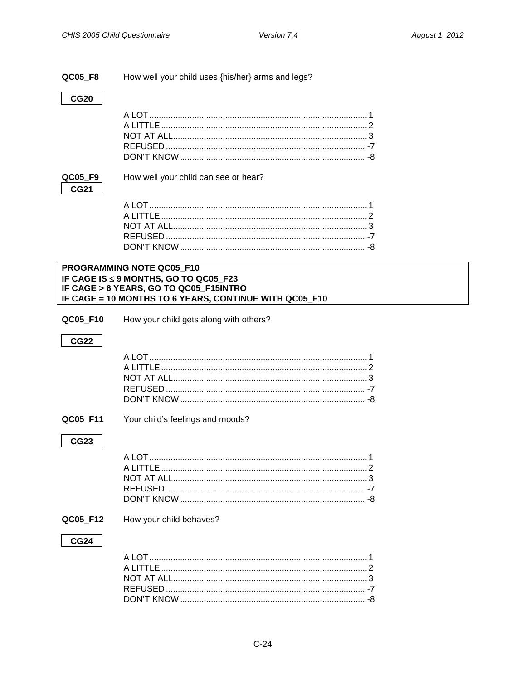### QC05 F8 How well your child uses {his/her} arms and legs?

**CG20** 

### QC05\_F9 **CG21**

How well your child can see or hear?

### PROGRAMMING NOTE QC05\_F10 IF CAGE IS ≤ 9 MONTHS, GO TO QC05\_F23 IF CAGE > 6 YEARS, GO TO QC05\_F15INTRO IF CAGE = 10 MONTHS TO 6 YEARS, CONTINUE WITH QC05\_F10

| QC05 F10 | How your child gets along with others? |
|----------|----------------------------------------|
|----------|----------------------------------------|

### **CG22**

### QC05\_F11

Your child's feelings and moods?

### **CG23**

### QC05\_F12 How your child behaves?

### **CG24**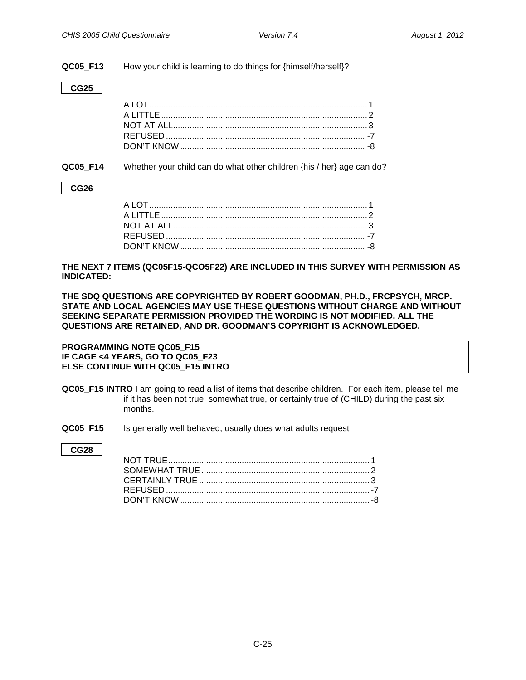**QC05\_F13** How your child is learning to do things for {himself/herself}?

### **CG25**

**QC05\_F14** Whether your child can do what other children {his / her} age can do?

### **CG26**

**THE NEXT 7 ITEMS (QC05F15-QCO5F22) ARE INCLUDED IN THIS SURVEY WITH PERMISSION AS INDICATED:**

**THE SDQ QUESTIONS ARE COPYRIGHTED BY ROBERT GOODMAN, PH.D., FRCPSYCH, MRCP. STATE AND LOCAL AGENCIES MAY USE THESE QUESTIONS WITHOUT CHARGE AND WITHOUT SEEKING SEPARATE PERMISSION PROVIDED THE WORDING IS NOT MODIFIED, ALL THE QUESTIONS ARE RETAINED, AND DR. GOODMAN'S COPYRIGHT IS ACKNOWLEDGED.** 

**PROGRAMMING NOTE QC05\_F15 IF CAGE <4 YEARS, GO TO QC05\_F23 ELSE CONTINUE WITH QC05\_F15 INTRO**

- <span id="page-27-0"></span>**QC05\_F15 INTRO** I am going to read a list of items that describe children. For each item, please tell me if it has been not true, somewhat true, or certainly true of (CHILD) during the past six months.
- **QC05 F15** Is generally well behaved, usually does what adults request

### **CG28**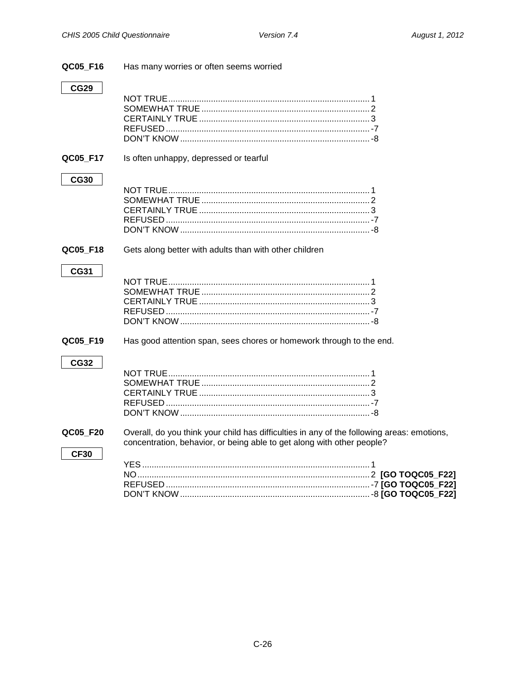| QC05 F16    | Has many worries or often seems worried                                                                                                                              |
|-------------|----------------------------------------------------------------------------------------------------------------------------------------------------------------------|
| <b>CG29</b> |                                                                                                                                                                      |
| QC05 F17    | Is often unhappy, depressed or tearful                                                                                                                               |
| <b>CG30</b> |                                                                                                                                                                      |
| QC05_F18    | Gets along better with adults than with other children                                                                                                               |
| <b>CG31</b> |                                                                                                                                                                      |
| QC05_F19    | Has good attention span, sees chores or homework through to the end.                                                                                                 |
| <b>CG32</b> |                                                                                                                                                                      |
| QC05 F20    | Overall, do you think your child has difficulties in any of the following areas: emotions,<br>concentration, behavior, or being able to get along with other people? |
| <b>CF30</b> |                                                                                                                                                                      |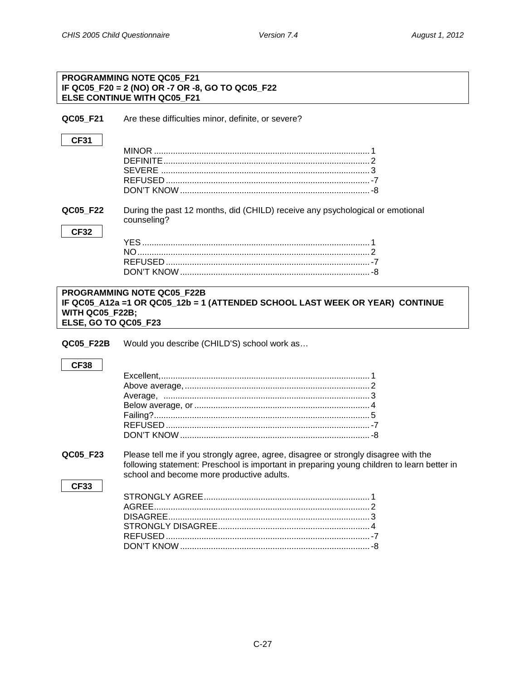**CF33** 

|                                                | PROGRAMMING NOTE QC05 F21<br>IF QC05_F20 = 2 (NO) OR -7 OR -8, GO TO QC05_F22<br>ELSE CONTINUE WITH QC05 F21      |
|------------------------------------------------|-------------------------------------------------------------------------------------------------------------------|
| QC05 F21                                       | Are these difficulties minor, definite, or severe?                                                                |
| <b>CF31</b>                                    |                                                                                                                   |
| QC05 F22<br><b>CF32</b>                        | During the past 12 months, did (CHILD) receive any psychological or emotional<br>counseling?                      |
| <b>WITH QC05_F22B;</b><br>ELSE, GO TO QC05_F23 | <b>PROGRAMMING NOTE QC05 F22B</b><br>IF QC05_A12a =1 OR QC05_12b = 1 (ATTENDED SCHOOL LAST WEEK OR YEAR) CONTINUE |
| QC05 F22B<br><b>CF38</b>                       | Would you describe (CHILD'S) school work as                                                                       |

QC05 F23 Please tell me if you strongly agree, agree, disagree or strongly disagree with the following statement: Preschool is important in preparing young children to learn better in school and become more productive adults.

###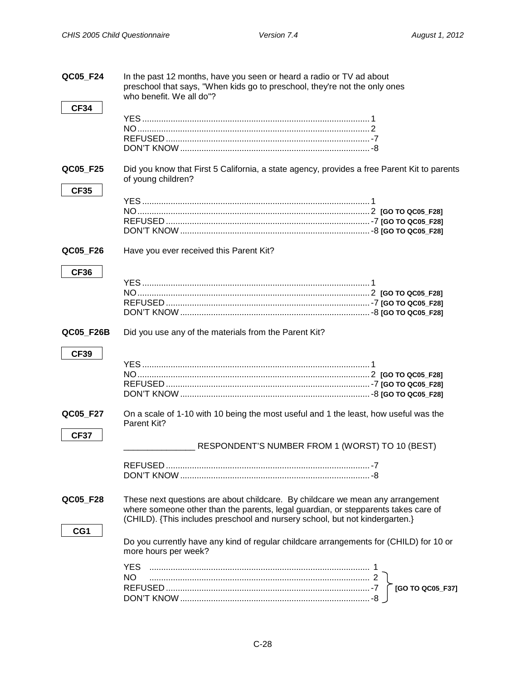<span id="page-30-1"></span><span id="page-30-0"></span>

| QC05_F24                | In the past 12 months, have you seen or heard a radio or TV ad about<br>preschool that says, "When kids go to preschool, they're not the only ones<br>who benefit. We all do"?                                                                       |
|-------------------------|------------------------------------------------------------------------------------------------------------------------------------------------------------------------------------------------------------------------------------------------------|
| <b>CF34</b>             |                                                                                                                                                                                                                                                      |
| QC05_F25                | Did you know that First 5 California, a state agency, provides a free Parent Kit to parents<br>of young children?                                                                                                                                    |
| <b>CF35</b>             |                                                                                                                                                                                                                                                      |
| QC05_F26                | Have you ever received this Parent Kit?                                                                                                                                                                                                              |
| <b>CF36</b>             |                                                                                                                                                                                                                                                      |
| QC05_F26B               | Did you use any of the materials from the Parent Kit?                                                                                                                                                                                                |
| <b>CF39</b><br>QC05_F27 | On a scale of 1-10 with 10 being the most useful and 1 the least, how useful was the                                                                                                                                                                 |
| <b>CF37</b>             | Parent Kit?                                                                                                                                                                                                                                          |
|                         | RESPONDENT'S NUMBER FROM 1 (WORST) TO 10 (BEST)                                                                                                                                                                                                      |
|                         |                                                                                                                                                                                                                                                      |
| QC05_F28<br>CG1         | These next questions are about childcare. By childcare we mean any arrangement<br>where someone other than the parents, legal guardian, or stepparents takes care of<br>(CHILD). {This includes preschool and nursery school, but not kindergarten.} |
|                         | Do you currently have any kind of regular childcare arrangements for (CHILD) for 10 or<br>more hours per week?                                                                                                                                       |
|                         | <b>YES</b><br>NO.<br>[GO TO QC05_F37]                                                                                                                                                                                                                |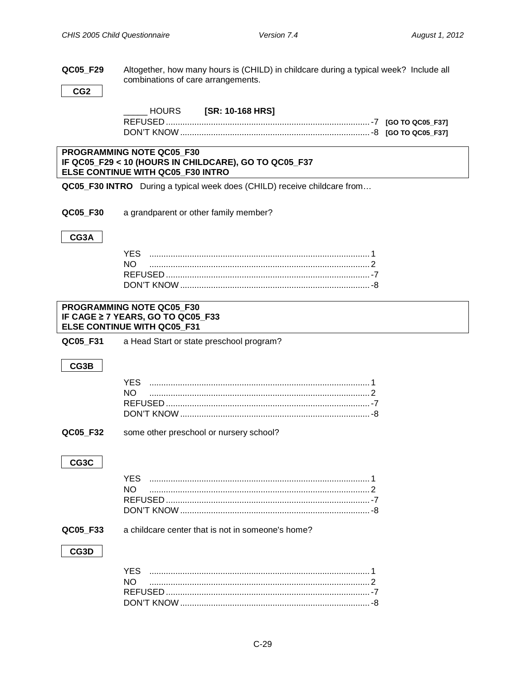### QC05\_F29 Altogether, how many hours is (CHILD) in childcare during a typical week? Include all combinations of care arrangements.

CG<sub>2</sub>

### [SR: 10-168 HRS] HOURS

### PROGRAMMING NOTE QC05 F30 IF QC05\_F29 < 10 (HOURS IN CHILDCARE), GO TO QC05\_F37 ELSE CONTINUE WITH QC05\_F30 INTRO

QC05\_F30 INTRO During a typical week does (CHILD) receive childcare from...

QC05\_F30 a grandparent or other family member?

### CG3A

| YES |  |
|-----|--|
| NΟ  |  |
|     |  |
|     |  |

### PROGRAMMING NOTE QC05 F30 IF CAGE ≥ 7 YEARS, GO TO QC05 F33 ELSE CONTINUE WITH QC05 F31

| QC05_F31 | a Head Start or state preschool program? |
|----------|------------------------------------------|
|----------|------------------------------------------|

### CG3B

QC05 F32 some other preschool or nursery school?

### CG3C

### QC05\_F33

a childcare center that is not in someone's home?

### CG3D

| NO. |  |
|-----|--|
|     |  |
|     |  |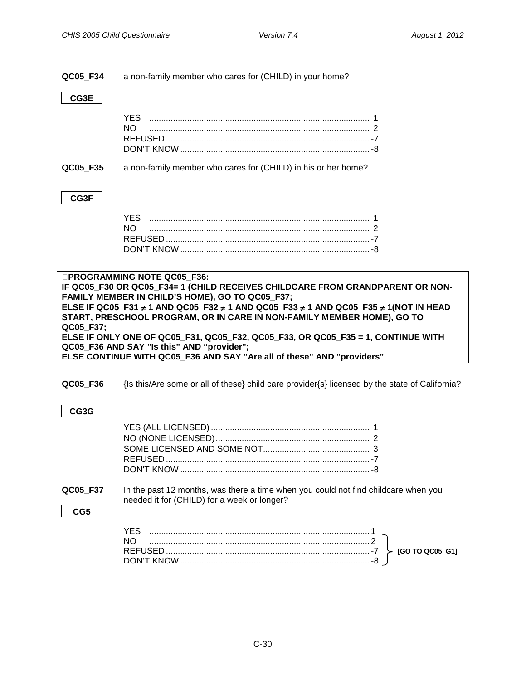| QC05_F34  | a non-family member who cares for (CHILD) in your home?                                                                                                                                                                                                                                                                                                                                                                                                                                                                                             |
|-----------|-----------------------------------------------------------------------------------------------------------------------------------------------------------------------------------------------------------------------------------------------------------------------------------------------------------------------------------------------------------------------------------------------------------------------------------------------------------------------------------------------------------------------------------------------------|
| CG3E      |                                                                                                                                                                                                                                                                                                                                                                                                                                                                                                                                                     |
|           | YES.<br>NO.                                                                                                                                                                                                                                                                                                                                                                                                                                                                                                                                         |
| QC05 F35  | a non-family member who cares for (CHILD) in his or her home?                                                                                                                                                                                                                                                                                                                                                                                                                                                                                       |
| CG3F      |                                                                                                                                                                                                                                                                                                                                                                                                                                                                                                                                                     |
|           | YES<br>NO.                                                                                                                                                                                                                                                                                                                                                                                                                                                                                                                                          |
| QC05_F37; | <b>OPROGRAMMING NOTE QC05 F36:</b><br>IF QC05_F30 OR QC05_F34= 1 (CHILD RECEIVES CHILDCARE FROM GRANDPARENT OR NON-<br>FAMILY MEMBER IN CHILD'S HOME), GO TO QC05_F37;<br>ELSE IF QC05_F31 ≠ 1 AND QC05_F32 ≠ 1 AND QC05_F33 ≠ 1 AND QC05_F35 ≠ 1(NOT IN HEAD<br>START, PRESCHOOL PROGRAM, OR IN CARE IN NON-FAMILY MEMBER HOME), GO TO<br>ELSE IF ONLY ONE OF QC05_F31, QC05_F32, QC05_F33, OR QC05_F35 = 1, CONTINUE WITH<br>QC05_F36 AND SAY "Is this" AND "provider";<br>ELSE CONTINUE WITH QC05_F36 AND SAY "Are all of these" AND "providers" |
| QC05 F36  | {Is this/Are some or all of these} child care provider{s} licensed by the state of California?                                                                                                                                                                                                                                                                                                                                                                                                                                                      |
| CG3G      |                                                                                                                                                                                                                                                                                                                                                                                                                                                                                                                                                     |
|           |                                                                                                                                                                                                                                                                                                                                                                                                                                                                                                                                                     |
| QC05 F37  | In the past 12 months, was there a time when you could not find childcare when you                                                                                                                                                                                                                                                                                                                                                                                                                                                                  |

| REFUSED    | $\triangleright$ [GO TO QC05 G1] |
|------------|----------------------------------|
| DON'T KNOW |                                  |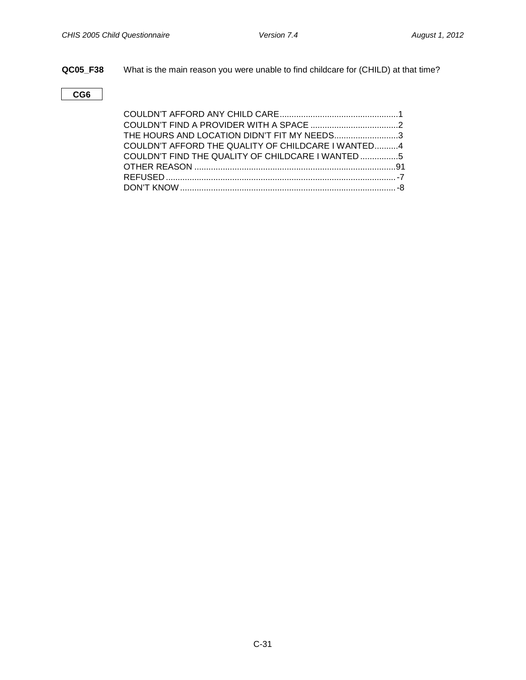**QC05\_F38** What is the main reason you were unable to find childcare for (CHILD) at that time?

**CG6**

| THE HOURS AND LOCATION DIDN'T FIT MY NEEDS3        |  |
|----------------------------------------------------|--|
| COULDN'T AFFORD THE QUALITY OF CHILDCARE I WANTED4 |  |
| COULDN'T FIND THE QUALITY OF CHILDCARE I WANTED 5  |  |
|                                                    |  |
|                                                    |  |
|                                                    |  |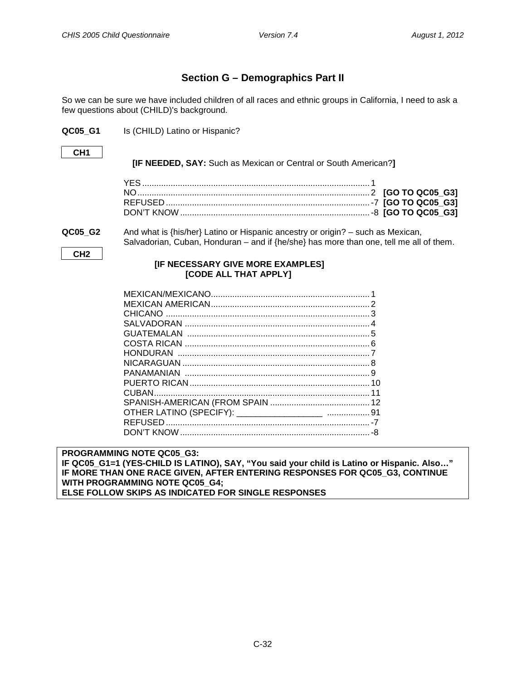### **Section G – Demographics Part II**

<span id="page-34-0"></span>So we can be sure we have included children of all races and ethnic groups in California, I need to ask a few questions about (CHILD)'s background.

<span id="page-34-1"></span>**QC05 G1** Is (CHILD) Latino or Hispanic?

### **CH1**

**[IF NEEDED, SAY:** Such as Mexican or Central or South American?**]**

**QC05\_G2** And what is {his/her} Latino or Hispanic ancestry or origin? – such as Mexican, Salvadorian, Cuban, Honduran – and if  ${he/she}$  has more than one, tell me all of them.

**CH2**

### **[IF NECESSARY GIVE MORE EXAMPLES] [CODE ALL THAT APPLY]**

**PROGRAMMING NOTE QC05\_G3: IF QC05\_G1=1 (YES-CHILD IS LATINO), SAY, "You said your child is Latino or Hispanic. Also…" IF MORE THAN ONE RACE GIVEN, AFTER ENTERING RESPONSES FOR QC05\_G3, CONTINUE WITH PROGRAMMING NOTE QC05\_G4; ELSE FOLLOW SKIPS AS INDICATED FOR SINGLE RESPONSES**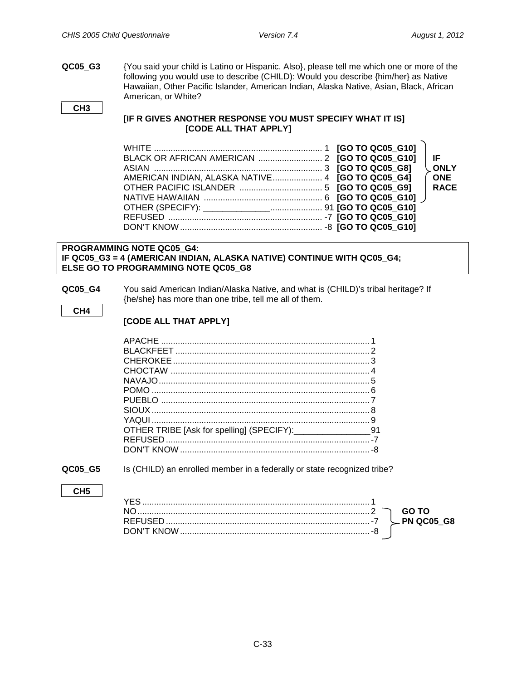**QC05\_G3** {You said your child is Latino or Hispanic. Also}, please tell me which one or more of the following you would use to describe (CHILD): Would you describe {him/her} as Native Hawaiian, Other Pacific Islander, American Indian, Alaska Native, Asian, Black, African American, or White?

### **CH3**

### **[IF R GIVES ANOTHER RESPONSE YOU MUST SPECIFY WHAT IT IS] [CODE ALL THAT APPLY]**

|                                                  |  | l IF.       |
|--------------------------------------------------|--|-------------|
|                                                  |  | ONLY        |
| AMERICAN INDIAN, ALASKA NATIVE 4 [GO TO QC05_G4] |  | <b>ONE</b>  |
|                                                  |  | <b>RACE</b> |
|                                                  |  |             |
|                                                  |  |             |
|                                                  |  |             |
|                                                  |  |             |

### **PROGRAMMING NOTE QC05\_G4: IF QC05\_G3 = 4 (AMERICAN INDIAN, ALASKA NATIVE) CONTINUE WITH QC05\_G4; ELSE GO TO PROGRAMMING NOTE QC05\_G8**

**QC05\_G4** You said American Indian/Alaska Native, and what is (CHILD)'s tribal heritage? If {he/she} has more than one tribe, tell me all of them.

### **CH4**

### **[CODE ALL THAT APPLY]**

**QC05\_G5** Is (CHILD) an enrolled member in a federally or state recognized tribe?

### **CH5**

|  | GO TO |
|--|-------|
|  |       |
|  |       |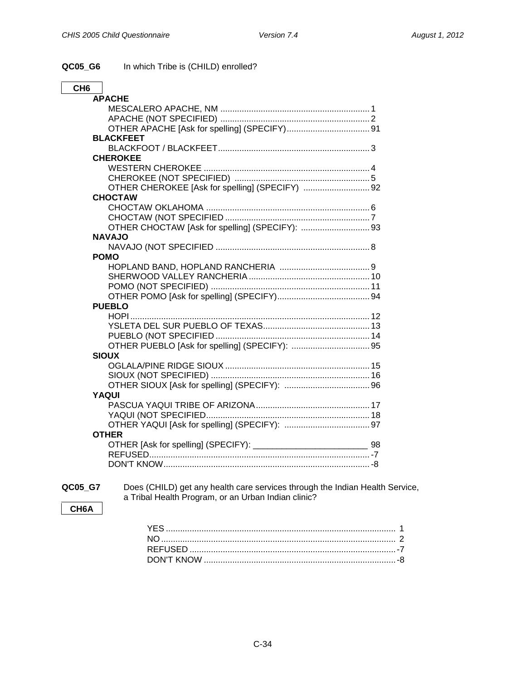| QC05_G6 |  | In which Tribe is (CHILD) enrolled? |
|---------|--|-------------------------------------|
|---------|--|-------------------------------------|

| CH <sub>6</sub>                                 |
|-------------------------------------------------|
| <b>APACHE</b>                                   |
|                                                 |
|                                                 |
|                                                 |
| <b>BLACKFEET</b>                                |
|                                                 |
| <b>CHEROKEE</b>                                 |
|                                                 |
|                                                 |
| OTHER CHEROKEE [Ask for spelling] (SPECIFY)  92 |
| <b>CHOCTAW</b>                                  |
|                                                 |
|                                                 |
|                                                 |
| <b>NAVAJO</b>                                   |
|                                                 |
| <b>POMO</b>                                     |
|                                                 |
|                                                 |
|                                                 |
|                                                 |
| <b>PUEBLO</b>                                   |
|                                                 |
|                                                 |
|                                                 |
|                                                 |
| <b>SIOUX</b>                                    |
|                                                 |
|                                                 |
|                                                 |
| <b>YAQUI</b>                                    |
|                                                 |
|                                                 |
|                                                 |
| <b>OTHER</b>                                    |
|                                                 |
|                                                 |
|                                                 |

**QC05\_G7** Does (CHILD) get any health care services through the Indian Health Service, a Tribal Health Program, or an Urban Indian clinic?

### **CH6A**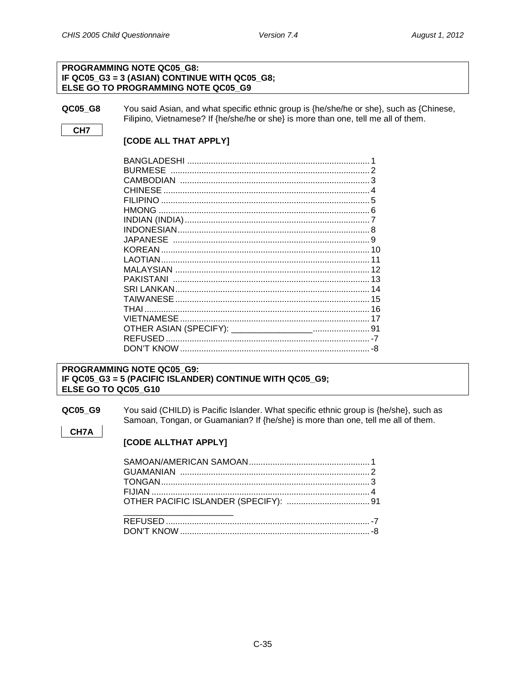### **PROGRAMMING NOTE QC05 G8:** IF QC05\_G3 = 3 (ASIAN) CONTINUE WITH QC05\_G8; ELSE GO TO PROGRAMMING NOTE QC05\_G9

QC05 G8

CH<sub>7</sub>

CH7A

You said Asian, and what specific ethnic group is {he/she/he or she}, such as {Chinese, Filipino, Vietnamese? If {he/she/he or she} is more than one, tell me all of them.

### [CODE ALL THAT APPLY]

| <b>BURMESE</b><br><b>CHINESE</b> |    |
|----------------------------------|----|
|                                  |    |
|                                  |    |
|                                  |    |
|                                  |    |
| KOREAN                           |    |
| I AOTIAN                         |    |
|                                  | 12 |
|                                  | 13 |
|                                  |    |
|                                  | 15 |
| THAI                             |    |
|                                  |    |
|                                  | 91 |
|                                  |    |
|                                  |    |

### PROGRAMMING NOTE QC05 G9: IF QC05\_G3 = 5 (PACIFIC ISLANDER) CONTINUE WITH QC05\_G9; ELSE GO TO QC05 G10

QC05\_G9 You said (CHILD) is Pacific Islander. What specific ethnic group is {he/she}, such as Samoan, Tongan, or Guamanian? If {he/she} is more than one, tell me all of them.

### [CODE ALLTHAT APPLY]

| OTHER PACIFIC ISLANDER (SPECIFY):  91 |  |
|---------------------------------------|--|
|                                       |  |
|                                       |  |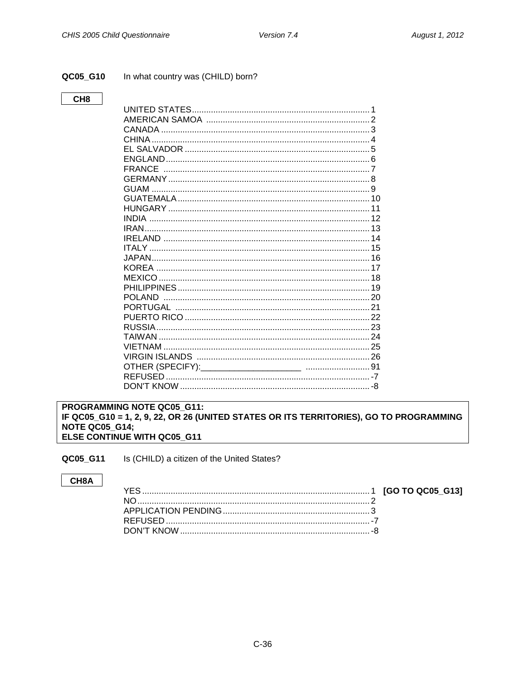### <span id="page-38-0"></span>QC05\_G10

### In what country was (CHILD) born?

### CH<sub>8</sub>

### PROGRAMMING NOTE QC05 G11: IF QC05\_G10 = 1, 2, 9, 22, OR 26 (UNITED STATES OR ITS TERRITORIES), GO TO PROGRAMMING **NOTE QC05\_G14;** ELSE CONTINUE WITH QC05\_G11

<span id="page-38-1"></span>Is (CHILD) a citizen of the United States? QC05\_G11

### CH8A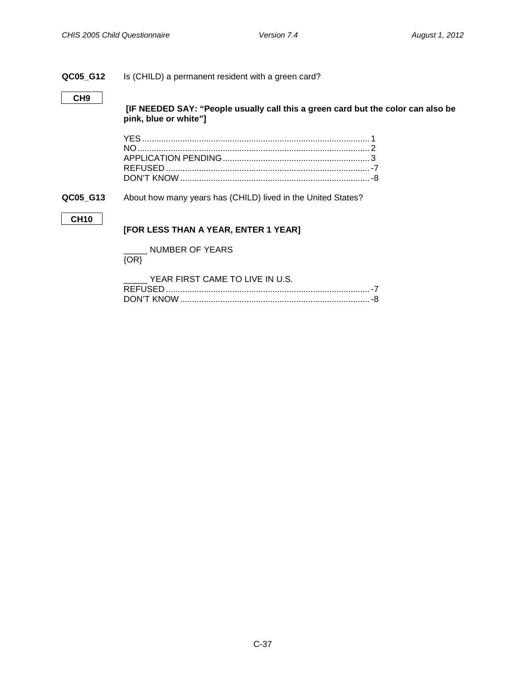### **QC05\_G12** Is (CHILD) a permanent resident with a green card?

### **CH9**

**[IF NEEDED SAY: "People usually call this a green card but the color can also be pink, blue or white"]**

**QC05\_G13** About how many years has (CHILD) lived in the United States?

### **CH10**

**[FOR LESS THAN A YEAR, ENTER 1 YEAR]**

\_\_\_\_\_ NUMBER OF YEARS

### {OR}

| YEAR FIRST CAME TO LIVE IN U.S. |  |
|---------------------------------|--|
|                                 |  |
|                                 |  |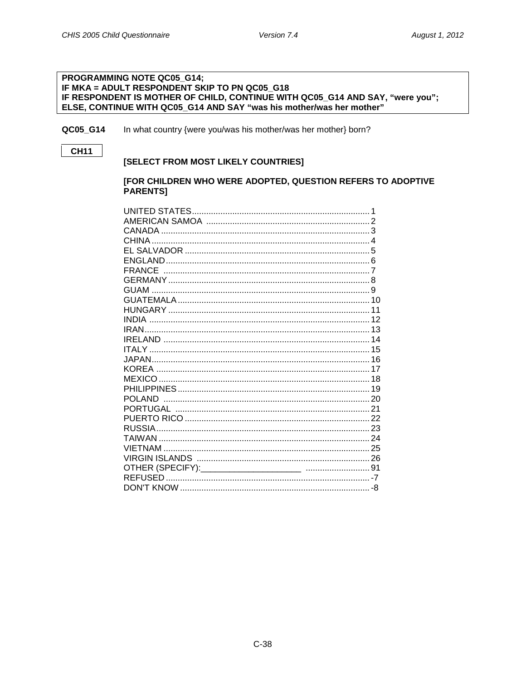### PROGRAMMING NOTE QC05\_G14; IF MKA = ADULT RESPONDENT SKIP TO PN QC05 G18 IF RESPONDENT IS MOTHER OF CHILD, CONTINUE WITH QC05\_G14 AND SAY, "were you"; ELSE, CONTINUE WITH QC05\_G14 AND SAY "was his mother/was her mother"

<span id="page-40-0"></span>In what country {were you/was his mother/was her mother} born? QC05\_G14

### **CH11**

### [SELECT FROM MOST LIKELY COUNTRIES]

### [FOR CHILDREN WHO WERE ADOPTED, QUESTION REFERS TO ADOPTIVE **PARENTS]**

| <b>POLAND</b> |  |
|---------------|--|
|               |  |
|               |  |
|               |  |
|               |  |
|               |  |
|               |  |
|               |  |
|               |  |
|               |  |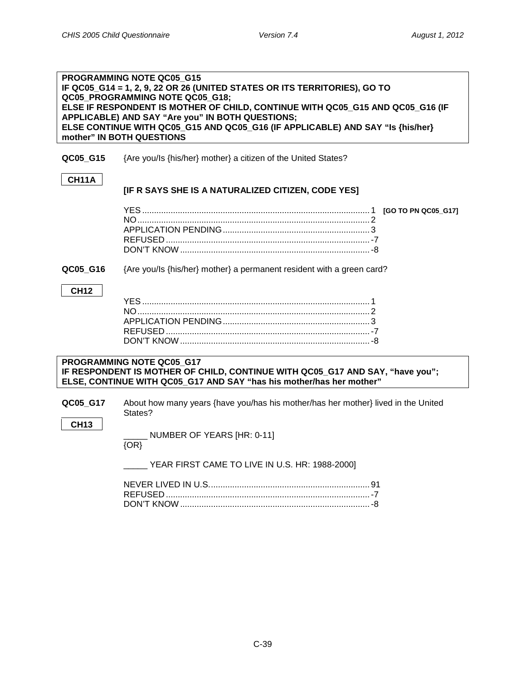| PROGRAMMING NOTE QC05 G15                                                                                    |                                                                                                                                                                                    |  |  |
|--------------------------------------------------------------------------------------------------------------|------------------------------------------------------------------------------------------------------------------------------------------------------------------------------------|--|--|
| IF QC05_G14 = 1, 2, 9, 22 OR 26 (UNITED STATES OR ITS TERRITORIES), GO TO<br>QC05_PROGRAMMING NOTE QC05_G18; |                                                                                                                                                                                    |  |  |
|                                                                                                              | ELSE IF RESPONDENT IS MOTHER OF CHILD, CONTINUE WITH QC05_G15 AND QC05_G16 (IF                                                                                                     |  |  |
|                                                                                                              | APPLICABLE) AND SAY "Are you" IN BOTH QUESTIONS;<br>ELSE CONTINUE WITH QC05 G15 AND QC05 G16 (IF APPLICABLE) AND SAY "Is {his/her}                                                 |  |  |
|                                                                                                              | mother" IN BOTH QUESTIONS                                                                                                                                                          |  |  |
| QC05_G15                                                                                                     | {Are you/Is {his/her} mother} a citizen of the United States?                                                                                                                      |  |  |
|                                                                                                              |                                                                                                                                                                                    |  |  |
| <b>CH11A</b>                                                                                                 | [IF R SAYS SHE IS A NATURALIZED CITIZEN, CODE YES]                                                                                                                                 |  |  |
|                                                                                                              |                                                                                                                                                                                    |  |  |
|                                                                                                              |                                                                                                                                                                                    |  |  |
|                                                                                                              |                                                                                                                                                                                    |  |  |
|                                                                                                              |                                                                                                                                                                                    |  |  |
|                                                                                                              |                                                                                                                                                                                    |  |  |
| QC05_G16                                                                                                     | {Are you/ls {his/her} mother} a permanent resident with a green card?                                                                                                              |  |  |
| <b>CH12</b>                                                                                                  |                                                                                                                                                                                    |  |  |
|                                                                                                              |                                                                                                                                                                                    |  |  |
|                                                                                                              |                                                                                                                                                                                    |  |  |
|                                                                                                              |                                                                                                                                                                                    |  |  |
|                                                                                                              |                                                                                                                                                                                    |  |  |
|                                                                                                              |                                                                                                                                                                                    |  |  |
|                                                                                                              | PROGRAMMING NOTE QC05 G17<br>IF RESPONDENT IS MOTHER OF CHILD, CONTINUE WITH QC05_G17 AND SAY, "have you";<br>ELSE, CONTINUE WITH QC05 G17 AND SAY "has his mother/has her mother" |  |  |
|                                                                                                              |                                                                                                                                                                                    |  |  |
| QC05_G17                                                                                                     | About how many years {have you/has his mother/has her mother} lived in the United<br>States?                                                                                       |  |  |
| <b>CH13</b>                                                                                                  |                                                                                                                                                                                    |  |  |
|                                                                                                              | NUMBER OF YEARS [HR: 0-11]<br>$\{OR\}$                                                                                                                                             |  |  |
|                                                                                                              | YEAR FIRST CAME TO LIVE IN U.S. HR: 1988-2000]                                                                                                                                     |  |  |
|                                                                                                              |                                                                                                                                                                                    |  |  |
|                                                                                                              |                                                                                                                                                                                    |  |  |

DON'T KNOW ................................................................................-8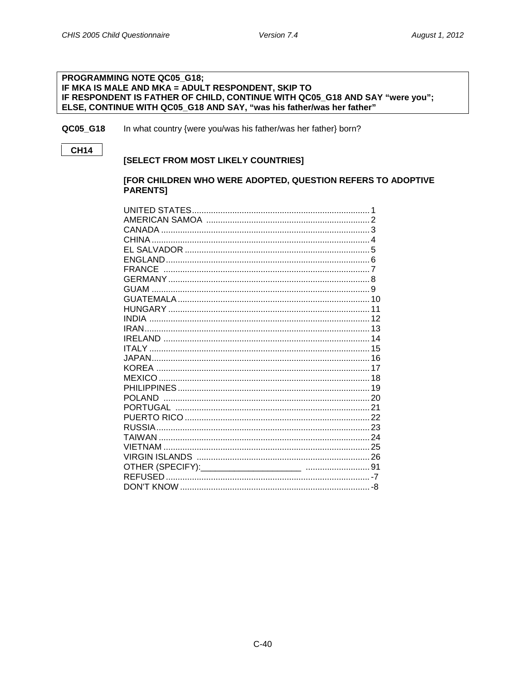### PROGRAMMING NOTE QC05\_G18; IF MKA IS MALE AND MKA = ADULT RESPONDENT, SKIP TO IF RESPONDENT IS FATHER OF CHILD, CONTINUE WITH QC05\_G18 AND SAY "were you"; ELSE, CONTINUE WITH QC05\_G18 AND SAY, "was his father/was her father"

QC05 G18 In what country {were you/was his father/was her father} born?

### **CH14**

### [SELECT FROM MOST LIKELY COUNTRIES]

### [FOR CHILDREN WHO WERE ADOPTED, QUESTION REFERS TO ADOPTIVE **PARENTS1**

| <b>POLAND</b> |  |
|---------------|--|
|               |  |
|               |  |
|               |  |
|               |  |
|               |  |
|               |  |
|               |  |
|               |  |
|               |  |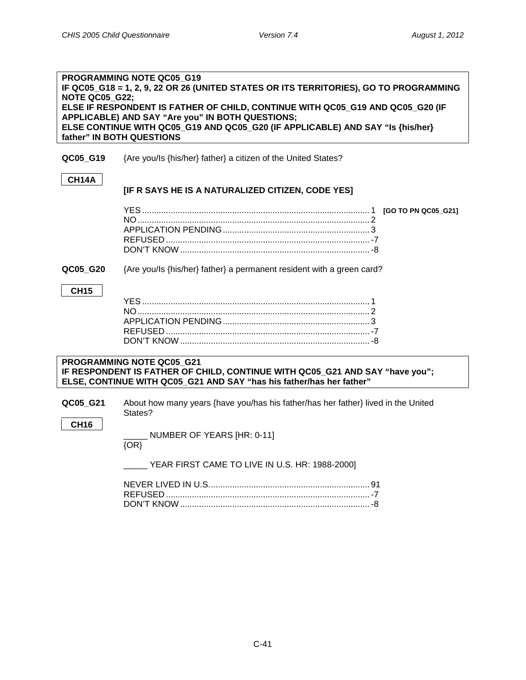| <b>NOTE QC05 G22;</b>   | PROGRAMMING NOTE QC05 G19<br>IF QC05_G18 = 1, 2, 9, 22 OR 26 (UNITED STATES OR ITS TERRITORIES), GO TO PROGRAMMING<br>ELSE IF RESPONDENT IS FATHER OF CHILD, CONTINUE WITH QC05_G19 AND QC05_G20 (IF<br>APPLICABLE) AND SAY "Are you" IN BOTH QUESTIONS;<br>ELSE CONTINUE WITH QC05_G19 AND QC05_G20 (IF APPLICABLE) AND SAY "Is {his/her}<br>father" IN BOTH QUESTIONS |
|-------------------------|-------------------------------------------------------------------------------------------------------------------------------------------------------------------------------------------------------------------------------------------------------------------------------------------------------------------------------------------------------------------------|
| QC05_G19                | {Are you/Is {his/her} father} a citizen of the United States?                                                                                                                                                                                                                                                                                                           |
| CH14A                   | [IF R SAYS HE IS A NATURALIZED CITIZEN, CODE YES]                                                                                                                                                                                                                                                                                                                       |
|                         |                                                                                                                                                                                                                                                                                                                                                                         |
| QC05 G20                | {Are you/ls {his/her} father} a permanent resident with a green card?                                                                                                                                                                                                                                                                                                   |
| <b>CH15</b>             |                                                                                                                                                                                                                                                                                                                                                                         |
|                         | PROGRAMMING NOTE QC05_G21<br>IF RESPONDENT IS FATHER OF CHILD, CONTINUE WITH QC05_G21 AND SAY "have you";<br>ELSE, CONTINUE WITH QC05 G21 AND SAY "has his father/has her father"                                                                                                                                                                                       |
| QC05_G21<br><b>CH16</b> | About how many years {have you/has his father/has her father} lived in the United<br>States?                                                                                                                                                                                                                                                                            |
|                         | $\_$ NUMBER OF YEARS [HR: 0-11]<br>$\overline{\{OR\}}$                                                                                                                                                                                                                                                                                                                  |
|                         | $\_$ YEAR FIRST CAME TO LIVE IN U.S. HR: 1988-2000]                                                                                                                                                                                                                                                                                                                     |
|                         |                                                                                                                                                                                                                                                                                                                                                                         |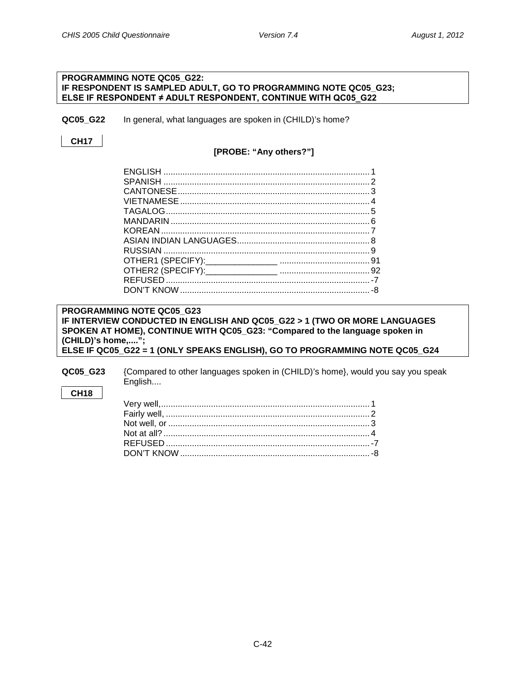### **PROGRAMMING NOTE QC05\_G22: IF RESPONDENT IS SAMPLED ADULT, GO TO PROGRAMMING NOTE QC05\_G23; ELSE IF RESPONDENT ≠ ADULT RESPONDENT, CONTINUE WITH QC05\_G22**

<span id="page-44-0"></span>**QC05 G22** In general, what languages are spoken in (CHILD)'s home?

**CH17**

### **[PROBE: "Any others?"]**

### **PROGRAMMING NOTE QC05\_G23 IF INTERVIEW CONDUCTED IN ENGLISH AND QC05\_G22 > 1 (TWO OR MORE LANGUAGES SPOKEN AT HOME), CONTINUE WITH QC05\_G23: "Compared to the language spoken in (CHILD)'s home,...."; ELSE IF QC05\_G22 = 1 (ONLY SPEAKS ENGLISH), GO TO PROGRAMMING NOTE QC05\_G24**

**QC05\_G23** {Compared to other languages spoken in (CHILD)'s home}, would you say you speak English....

### **CH18**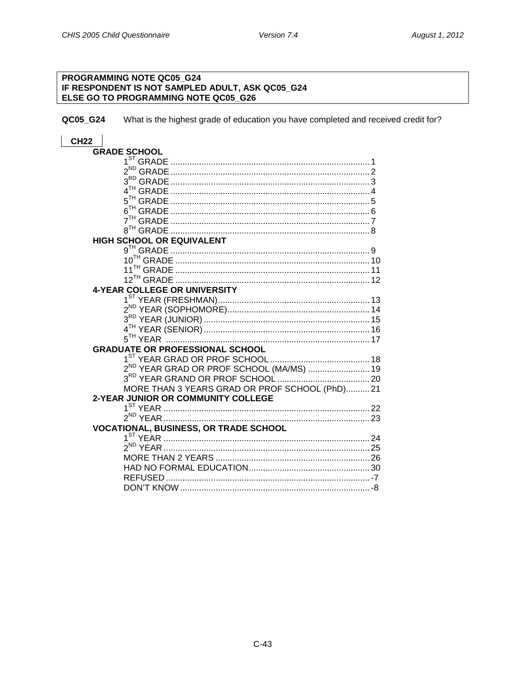# PROGRAMMING NOTE QC05\_G24 IF RESPONDENT IS NOT SAMPLED ADULT, ASK QC05\_G24<br>ELSE GO TO PROGRAMMING NOTE QC05\_G26

<span id="page-45-0"></span>QC05\_G24 What is the highest grade of education you have completed and received credit for?

### **CH22**

| <b>GRADE SCHOOL</b>                                  |
|------------------------------------------------------|
|                                                      |
|                                                      |
|                                                      |
|                                                      |
|                                                      |
|                                                      |
|                                                      |
|                                                      |
| HIGH SCHOOL OR EQUIVALENT                            |
|                                                      |
|                                                      |
|                                                      |
|                                                      |
| <b>4-YEAR COLLEGE OR UNIVERSITY</b>                  |
|                                                      |
|                                                      |
|                                                      |
|                                                      |
|                                                      |
| <b>GRADUATE OR PROFESSIONAL SCHOOL</b>               |
|                                                      |
| 2 <sup>ND</sup> YEAR GRAD OR PROF SCHOOL (MA/MS)  19 |
|                                                      |
| MORE THAN 3 YEARS GRAD OR PROF SCHOOL (PhD)21        |
| 2-YEAR JUNIOR OR COMMUNITY COLLEGE                   |
|                                                      |
|                                                      |
|                                                      |
| <b>VOCATIONAL, BUSINESS, OR TRADE SCHOOL</b>         |
|                                                      |
|                                                      |
|                                                      |
|                                                      |
|                                                      |
| DON'T KNOW.                                          |